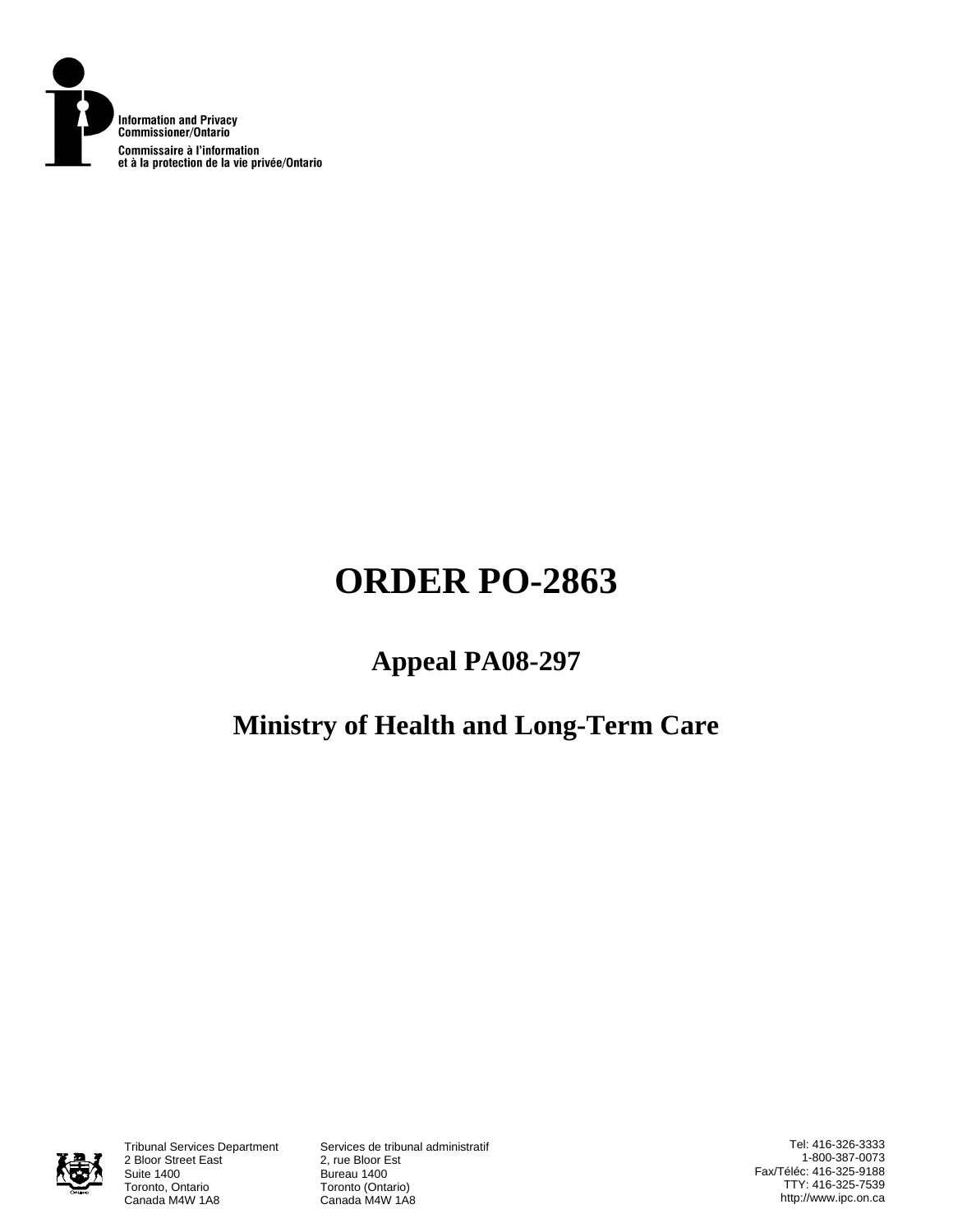

# **ORDER PO-2863**

# **Appeal PA08-297**

# **Ministry of Health and Long-Term Care**



Tribunal Services Department<br>2 Bloor Street East Suite 1400<br>Toronto, Ontario **Bureau 1400**<br>Toronto (Onta Toronto, Ontario **Toronto (Ontario)**<br>Canada M4W 1A8 Canada M4W 1A

Services de tribunal administratif<br>2, rue Bloor Est Canada M4W 1A8

Tel: 416-326-3333 1-800-387-0073 Fax/Téléc: 416-325-9188 TTY: 416-325-7539 http://www.ipc.on.ca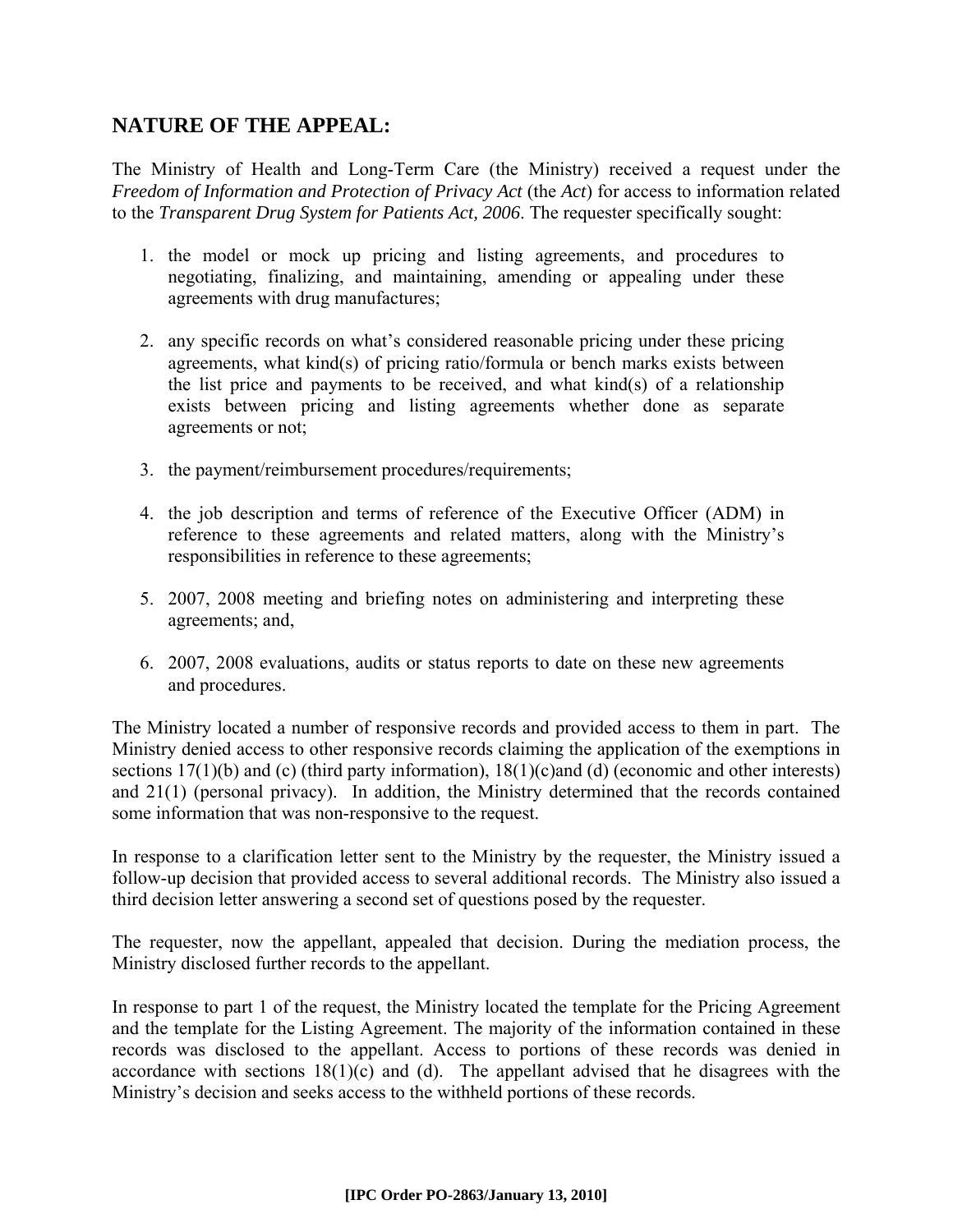# **NATURE OF THE APPEAL:**

The Ministry of Health and Long-Term Care (the Ministry) received a request under the *Freedom of Information and Protection of Privacy Act* (the *Act*) for access to information related to the *Transparent Drug System for Patients Act, 2006*. The requester specifically sought:

- 1. the model or mock up pricing and listing agreements, and procedures to negotiating, finalizing, and maintaining, amending or appealing under these agreements with drug manufactures;
- 2. any specific records on what's considered reasonable pricing under these pricing agreements, what kind(s) of pricing ratio/formula or bench marks exists between the list price and payments to be received, and what kind(s) of a relationship exists between pricing and listing agreements whether done as separate agreements or not;
- 3. the payment/reimbursement procedures/requirements;
- 4. the job description and terms of reference of the Executive Officer (ADM) in reference to these agreements and related matters, along with the Ministry's responsibilities in reference to these agreements;
- 5. 2007, 2008 meeting and briefing notes on administering and interpreting these agreements; and,
- 6. 2007, 2008 evaluations, audits or status reports to date on these new agreements and procedures.

The Ministry located a number of responsive records and provided access to them in part. The Ministry denied access to other responsive records claiming the application of the exemptions in sections 17(1)(b) and (c) (third party information), 18(1)(c)and (d) (economic and other interests) and 21(1) (personal privacy). In addition, the Ministry determined that the records contained some information that was non-responsive to the request.

In response to a clarification letter sent to the Ministry by the requester, the Ministry issued a follow-up decision that provided access to several additional records. The Ministry also issued a third decision letter answering a second set of questions posed by the requester.

The requester, now the appellant, appealed that decision. During the mediation process, the Ministry disclosed further records to the appellant.

In response to part 1 of the request, the Ministry located the template for the Pricing Agreement and the template for the Listing Agreement. The majority of the information contained in these records was disclosed to the appellant. Access to portions of these records was denied in accordance with sections  $18(1)(c)$  and (d). The appellant advised that he disagrees with the Ministry's decision and seeks access to the withheld portions of these records.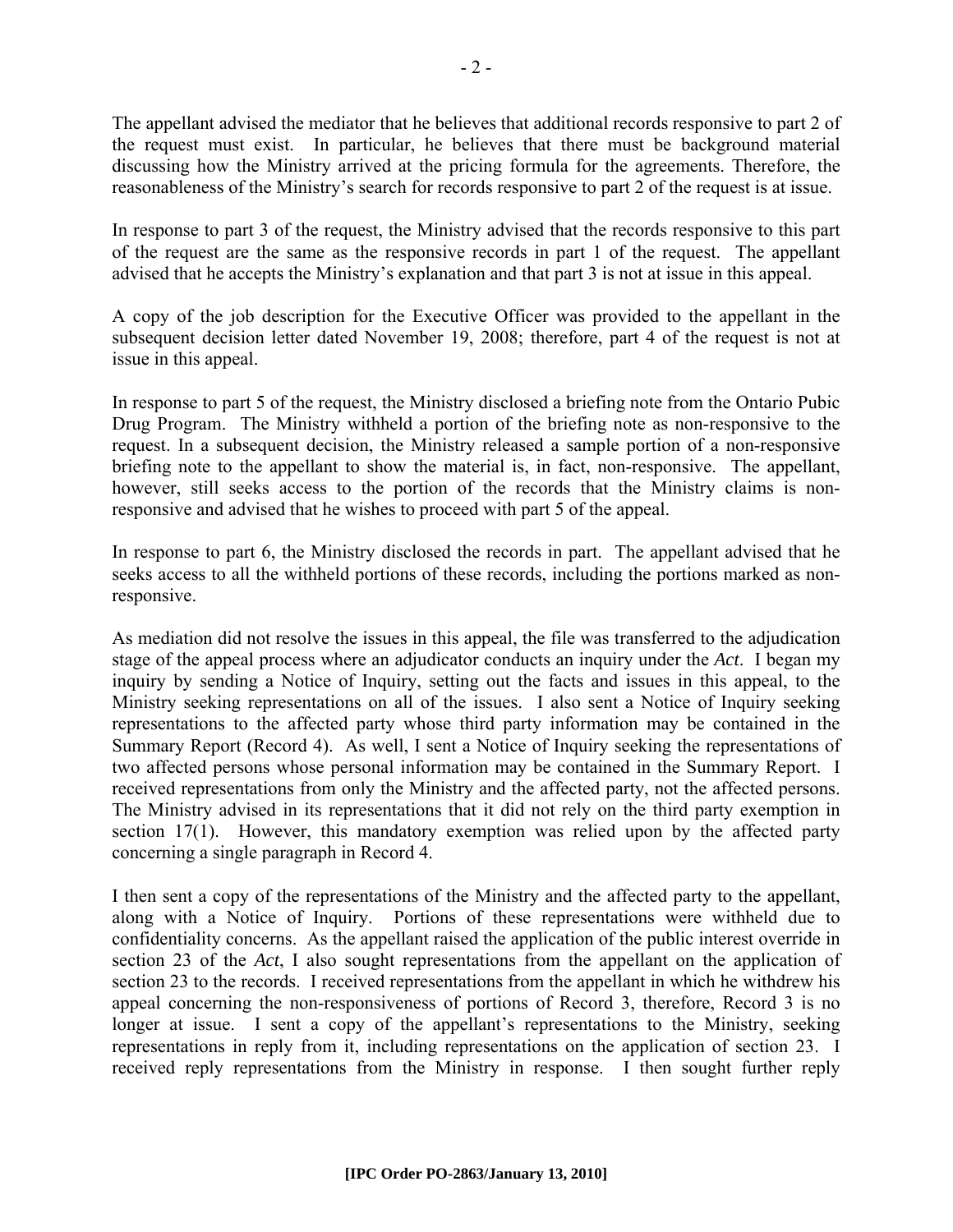The appellant advised the mediator that he believes that additional records responsive to part 2 of the request must exist. In particular, he believes that there must be background material discussing how the Ministry arrived at the pricing formula for the agreements. Therefore, the reasonableness of the Ministry's search for records responsive to part 2 of the request is at issue.

In response to part 3 of the request, the Ministry advised that the records responsive to this part of the request are the same as the responsive records in part 1 of the request. The appellant advised that he accepts the Ministry's explanation and that part 3 is not at issue in this appeal.

A copy of the job description for the Executive Officer was provided to the appellant in the subsequent decision letter dated November 19, 2008; therefore, part 4 of the request is not at issue in this appeal.

In response to part 5 of the request, the Ministry disclosed a briefing note from the Ontario Pubic Drug Program. The Ministry withheld a portion of the briefing note as non-responsive to the request. In a subsequent decision, the Ministry released a sample portion of a non-responsive briefing note to the appellant to show the material is, in fact, non-responsive. The appellant, however, still seeks access to the portion of the records that the Ministry claims is nonresponsive and advised that he wishes to proceed with part 5 of the appeal.

In response to part 6, the Ministry disclosed the records in part. The appellant advised that he seeks access to all the withheld portions of these records, including the portions marked as nonresponsive.

As mediation did not resolve the issues in this appeal, the file was transferred to the adjudication stage of the appeal process where an adjudicator conducts an inquiry under the *Act*. I began my inquiry by sending a Notice of Inquiry, setting out the facts and issues in this appeal, to the Ministry seeking representations on all of the issues. I also sent a Notice of Inquiry seeking representations to the affected party whose third party information may be contained in the Summary Report (Record 4). As well, I sent a Notice of Inquiry seeking the representations of two affected persons whose personal information may be contained in the Summary Report. I received representations from only the Ministry and the affected party, not the affected persons. The Ministry advised in its representations that it did not rely on the third party exemption in section 17(1). However, this mandatory exemption was relied upon by the affected party concerning a single paragraph in Record 4.

I then sent a copy of the representations of the Ministry and the affected party to the appellant, along with a Notice of Inquiry. Portions of these representations were withheld due to confidentiality concerns. As the appellant raised the application of the public interest override in section 23 of the *Act*, I also sought representations from the appellant on the application of section 23 to the records. I received representations from the appellant in which he withdrew his appeal concerning the non-responsiveness of portions of Record 3, therefore, Record 3 is no longer at issue. I sent a copy of the appellant's representations to the Ministry, seeking representations in reply from it, including representations on the application of section 23. I received reply representations from the Ministry in response. I then sought further reply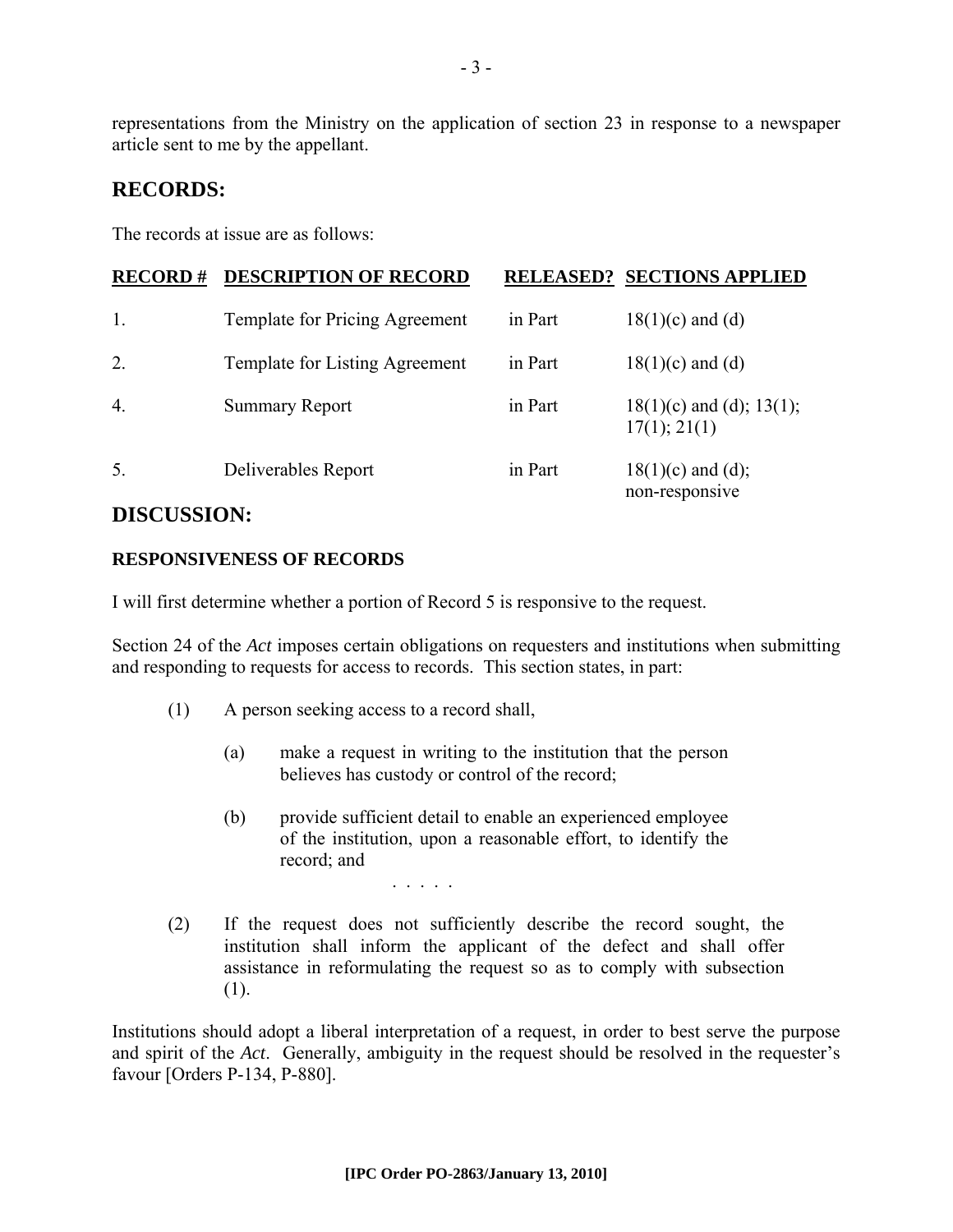representations from the Ministry on the application of section 23 in response to a newspaper article sent to me by the appellant.

# **RECORDS:**

The records at issue are as follows:

| <b>RECORD#</b>   | <b>DESCRIPTION OF RECORD</b>   |         | <b>RELEASED? SECTIONS APPLIED</b>             |
|------------------|--------------------------------|---------|-----------------------------------------------|
| 1.               | Template for Pricing Agreement | in Part | $18(1)(c)$ and (d)                            |
| 2.               | Template for Listing Agreement | in Part | $18(1)(c)$ and (d)                            |
| $\overline{4}$ . | <b>Summary Report</b>          | in Part | $18(1)(c)$ and (d); $13(1)$ ;<br>17(1); 21(1) |
| 5.               | Deliverables Report            | in Part | $18(1)(c)$ and (d);<br>non-responsive         |

# **DISCUSSION:**

### **RESPONSIVENESS OF RECORDS**

I will first determine whether a portion of Record 5 is responsive to the request.

. . . . .

Section 24 of the *Act* imposes certain obligations on requesters and institutions when submitting and responding to requests for access to records. This section states, in part:

- (1) A person seeking access to a record shall,
	- (a) make a request in writing to the institution that the person believes has custody or control of the record;
	- (b) provide sufficient detail to enable an experienced employee of the institution, upon a reasonable effort, to identify the record; and
- (2) If the request does not sufficiently describe the record sought, the institution shall inform the applicant of the defect and shall offer assistance in reformulating the request so as to comply with subsection (1).

Institutions should adopt a liberal interpretation of a request, in order to best serve the purpose and spirit of the *Act*. Generally, ambiguity in the request should be resolved in the requester's favour [Orders P-134, P-880].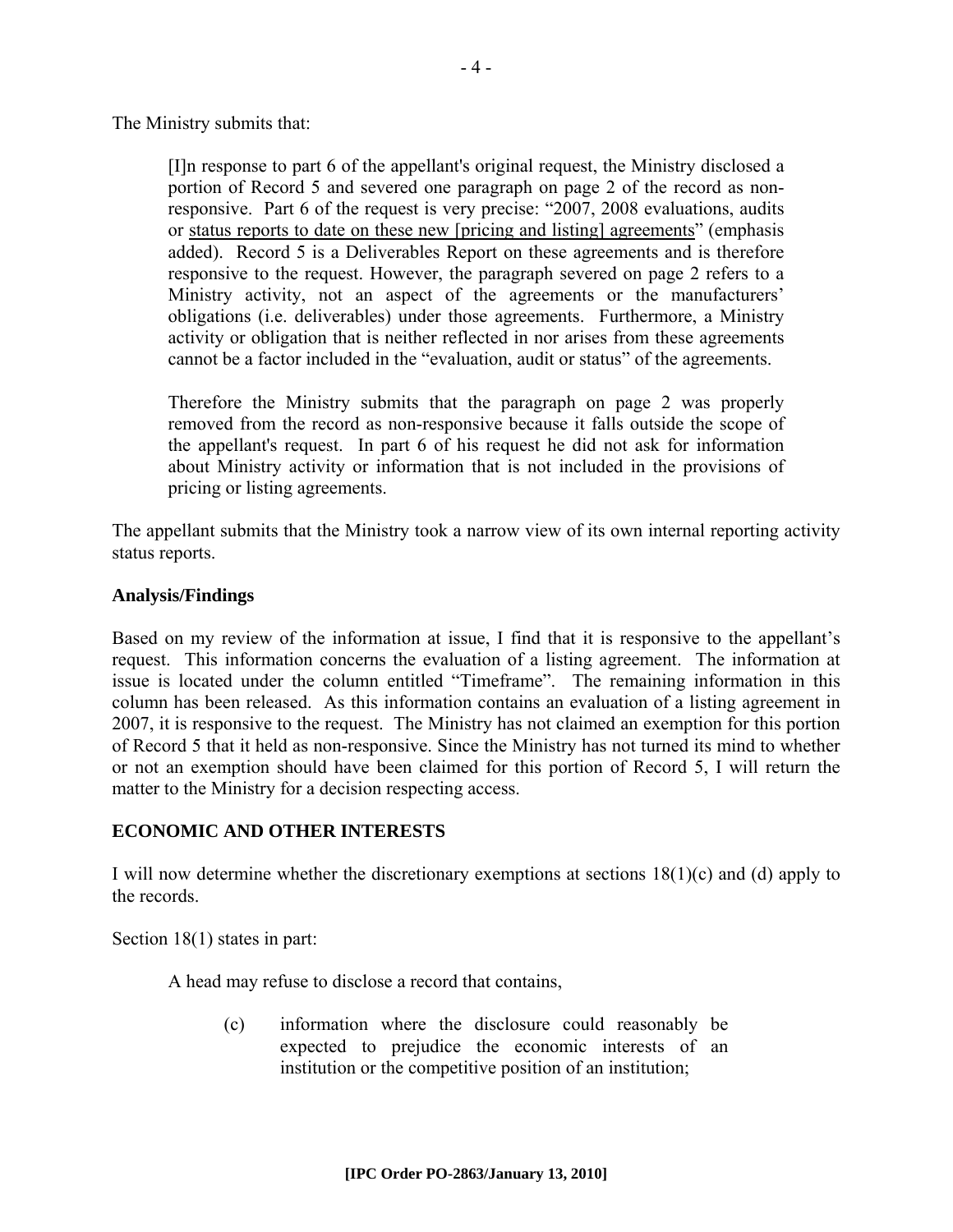The Ministry submits that:

[I]n response to part 6 of the appellant's original request, the Ministry disclosed a portion of Record 5 and severed one paragraph on page 2 of the record as nonresponsive. Part 6 of the request is very precise: "2007, 2008 evaluations, audits or status reports to date on these new [pricing and listing] agreements" (emphasis added). Record 5 is a Deliverables Report on these agreements and is therefore responsive to the request. However, the paragraph severed on page 2 refers to a Ministry activity, not an aspect of the agreements or the manufacturers' obligations (i.e. deliverables) under those agreements. Furthermore, a Ministry activity or obligation that is neither reflected in nor arises from these agreements cannot be a factor included in the "evaluation, audit or status" of the agreements.

Therefore the Ministry submits that the paragraph on page 2 was properly removed from the record as non-responsive because it falls outside the scope of the appellant's request. In part 6 of his request he did not ask for information about Ministry activity or information that is not included in the provisions of pricing or listing agreements.

The appellant submits that the Ministry took a narrow view of its own internal reporting activity status reports.

### **Analysis/Findings**

Based on my review of the information at issue, I find that it is responsive to the appellant's request. This information concerns the evaluation of a listing agreement. The information at issue is located under the column entitled "Timeframe". The remaining information in this column has been released. As this information contains an evaluation of a listing agreement in 2007, it is responsive to the request. The Ministry has not claimed an exemption for this portion of Record 5 that it held as non-responsive. Since the Ministry has not turned its mind to whether or not an exemption should have been claimed for this portion of Record 5, I will return the matter to the Ministry for a decision respecting access.

### **ECONOMIC AND OTHER INTERESTS**

I will now determine whether the discretionary exemptions at sections 18(1)(c) and (d) apply to the records.

Section 18(1) states in part:

A head may refuse to disclose a record that contains,

(c) information where the disclosure could reasonably be expected to prejudice the economic interests of an institution or the competitive position of an institution;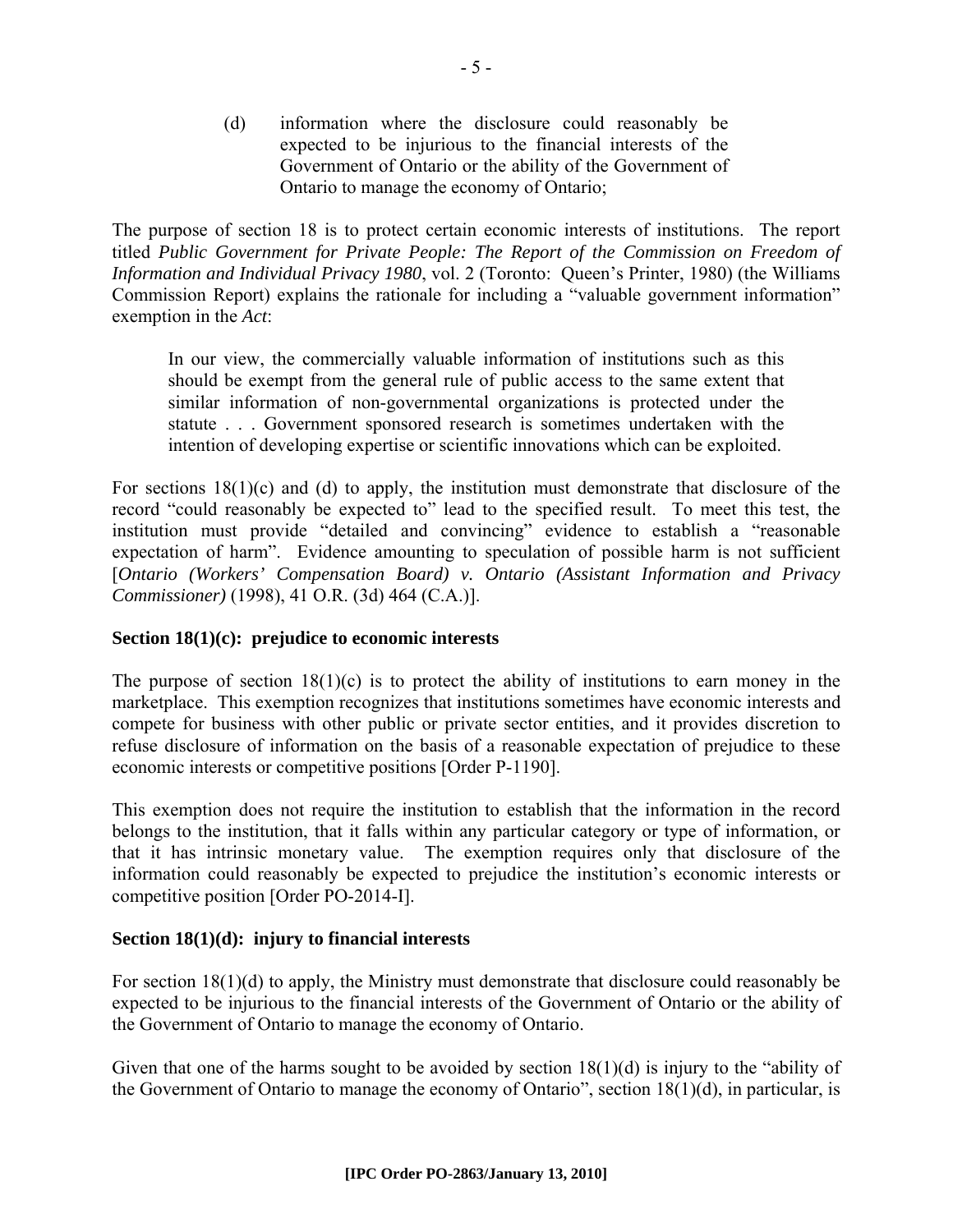(d) information where the disclosure could reasonably be expected to be injurious to the financial interests of the Government of Ontario or the ability of the Government of Ontario to manage the economy of Ontario;

The purpose of section 18 is to protect certain economic interests of institutions. The report titled *Public Government for Private People: The Report of the Commission on Freedom of Information and Individual Privacy 1980*, vol. 2 (Toronto: Queen's Printer, 1980) (the Williams Commission Report) explains the rationale for including a "valuable government information" exemption in the *Act*:

In our view, the commercially valuable information of institutions such as this should be exempt from the general rule of public access to the same extent that similar information of non-governmental organizations is protected under the statute . . . Government sponsored research is sometimes undertaken with the intention of developing expertise or scientific innovations which can be exploited.

For sections  $18(1)(c)$  and (d) to apply, the institution must demonstrate that disclosure of the record "could reasonably be expected to" lead to the specified result. To meet this test, the institution must provide "detailed and convincing" evidence to establish a "reasonable expectation of harm". Evidence amounting to speculation of possible harm is not sufficient [*Ontario (Workers' Compensation Board) v. Ontario (Assistant Information and Privacy Commissioner)* (1998), 41 O.R. (3d) 464 (C.A.)].

### **Section 18(1)(c): prejudice to economic interests**

The purpose of section  $18(1)(c)$  is to protect the ability of institutions to earn money in the marketplace. This exemption recognizes that institutions sometimes have economic interests and compete for business with other public or private sector entities, and it provides discretion to refuse disclosure of information on the basis of a reasonable expectation of prejudice to these economic interests or competitive positions [Order P-1190].

This exemption does not require the institution to establish that the information in the record belongs to the institution, that it falls within any particular category or type of information, or that it has intrinsic monetary value. The exemption requires only that disclosure of the information could reasonably be expected to prejudice the institution's economic interests or competitive position [Order PO-2014-I].

# **Section 18(1)(d): injury to financial interests**

For section 18(1)(d) to apply, the Ministry must demonstrate that disclosure could reasonably be expected to be injurious to the financial interests of the Government of Ontario or the ability of the Government of Ontario to manage the economy of Ontario.

Given that one of the harms sought to be avoided by section  $18(1)(d)$  is injury to the "ability of the Government of Ontario to manage the economy of Ontario", section 18(1)(d), in particular, is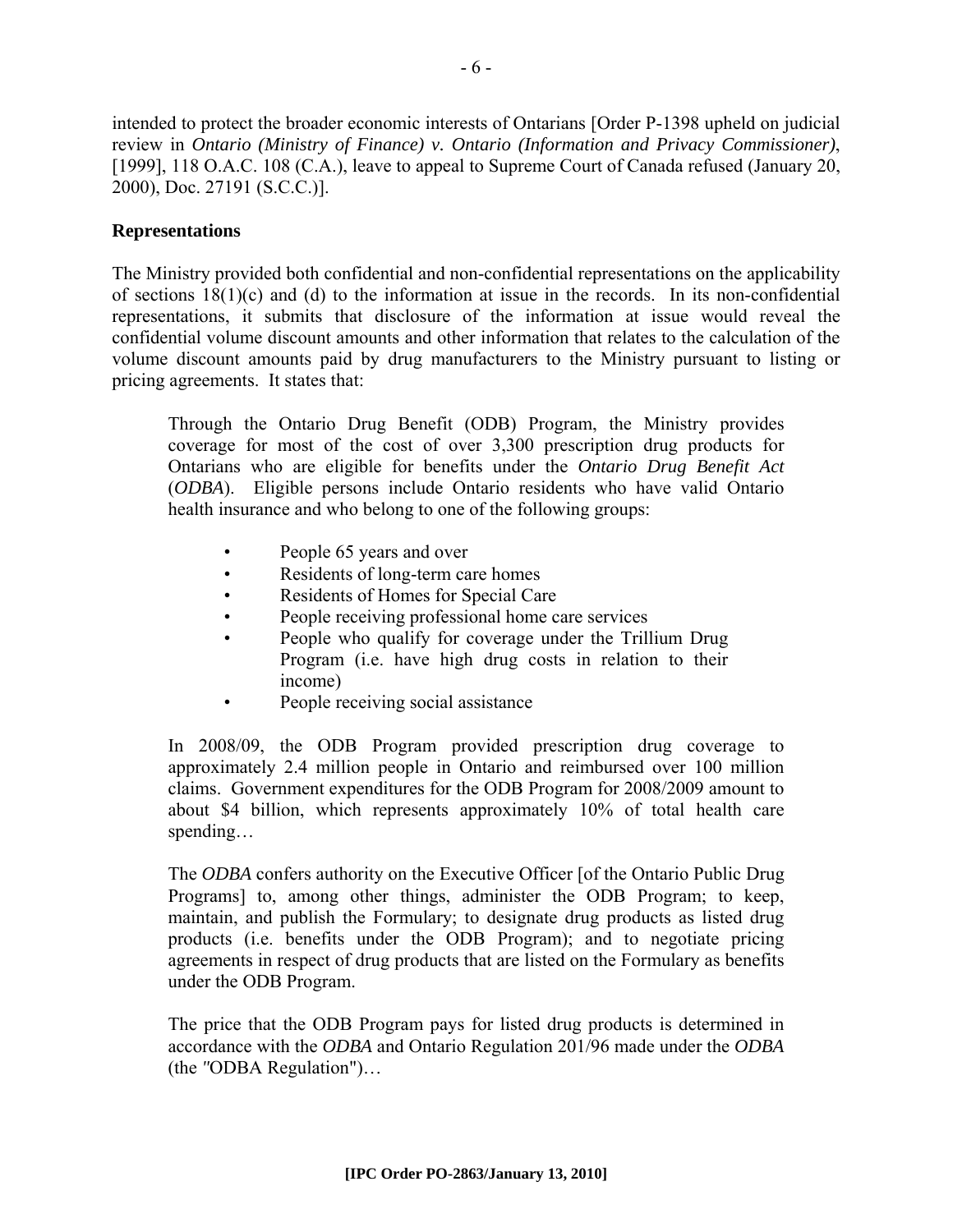intended to protect the broader economic interests of Ontarians [Order P-1398 upheld on judicial review in *Ontario (Ministry of Finance) v. Ontario (Information and Privacy Commissioner)*, [1999], 118 O.A.C. 108 (C.A.), leave to appeal to Supreme Court of Canada refused (January 20, 2000), Doc. 27191 (S.C.C.)].

# **Representations**

The Ministry provided both confidential and non-confidential representations on the applicability of sections 18(1)(c) and (d) to the information at issue in the records. In its non-confidential representations, it submits that disclosure of the information at issue would reveal the confidential volume discount amounts and other information that relates to the calculation of the volume discount amounts paid by drug manufacturers to the Ministry pursuant to listing or pricing agreements. It states that:

Through the Ontario Drug Benefit (ODB) Program, the Ministry provides coverage for most of the cost of over 3,300 prescription drug products for Ontarians who are eligible for benefits under the *Ontario Drug Benefit Act* (*ODBA*). Eligible persons include Ontario residents who have valid Ontario health insurance and who belong to one of the following groups:

- People 65 years and over
- Residents of long-term care homes
- Residents of Homes for Special Care
- People receiving professional home care services
- People who qualify for coverage under the Trillium Drug Program (i.e. have high drug costs in relation to their income)
- People receiving social assistance

In 2008/09, the ODB Program provided prescription drug coverage to approximately 2.4 million people in Ontario and reimbursed over 100 million claims. Government expenditures for the ODB Program for 2008/2009 amount to about \$4 billion, which represents approximately 10% of total health care spending…

The *ODBA* confers authority on the Executive Officer [of the Ontario Public Drug Programs] to, among other things, administer the ODB Program; to keep, maintain, and publish the Formulary; to designate drug products as listed drug products (i.e. benefits under the ODB Program); and to negotiate pricing agreements in respect of drug products that are listed on the Formulary as benefits under the ODB Program.

The price that the ODB Program pays for listed drug products is determined in accordance with the *ODBA* and Ontario Regulation 201/96 made under the *ODBA* (the *"*ODBA Regulation")…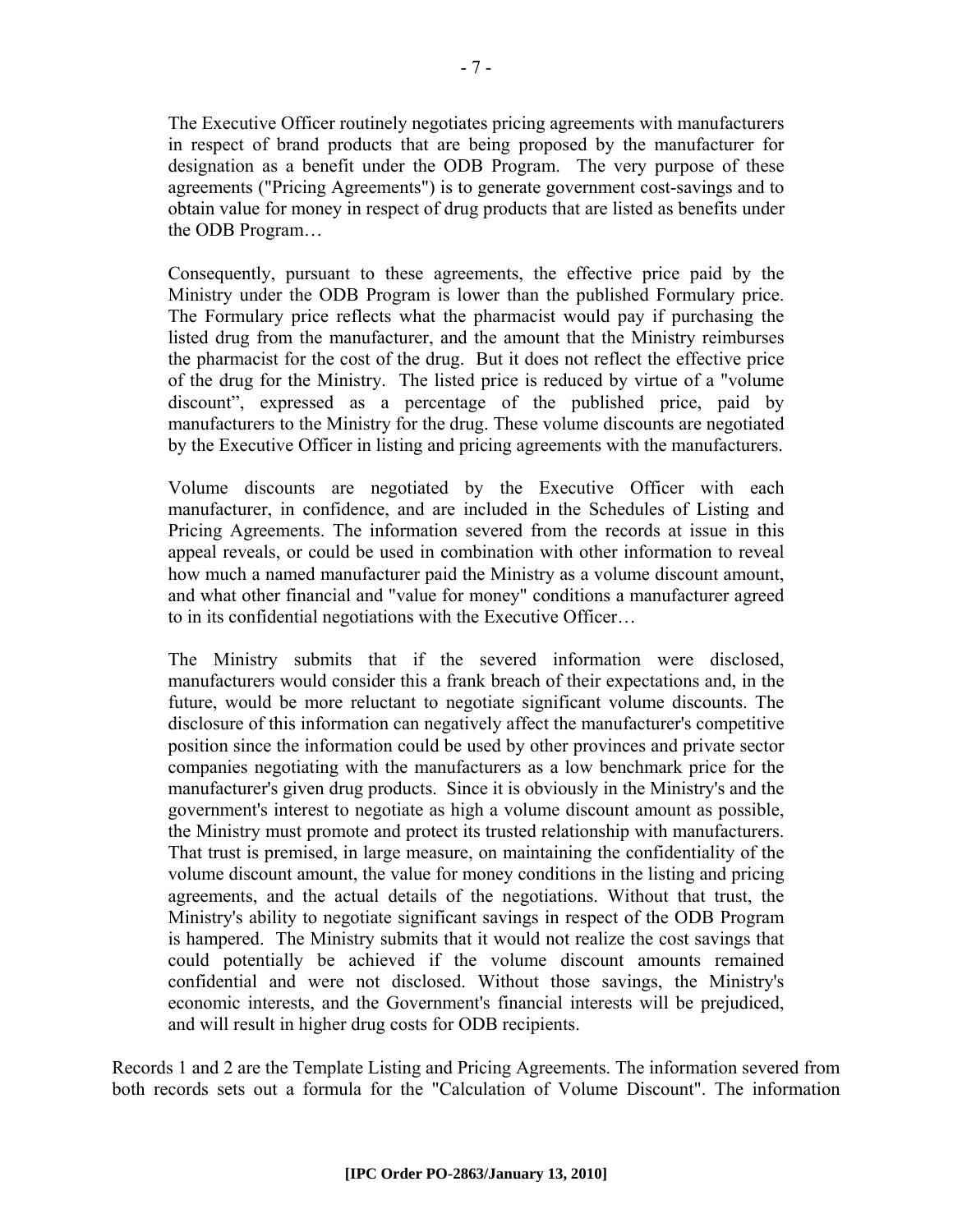The Executive Officer routinely negotiates pricing agreements with manufacturers in respect of brand products that are being proposed by the manufacturer for designation as a benefit under the ODB Program. The very purpose of these agreements ("Pricing Agreements") is to generate government cost-savings and to obtain value for money in respect of drug products that are listed as benefits under the ODB Program…

Consequently, pursuant to these agreements, the effective price paid by the Ministry under the ODB Program is lower than the published Formulary price. The Formulary price reflects what the pharmacist would pay if purchasing the listed drug from the manufacturer, and the amount that the Ministry reimburses the pharmacist for the cost of the drug. But it does not reflect the effective price of the drug for the Ministry. The listed price is reduced by virtue of a "volume discount", expressed as a percentage of the published price, paid by manufacturers to the Ministry for the drug. These volume discounts are negotiated by the Executive Officer in listing and pricing agreements with the manufacturers.

Volume discounts are negotiated by the Executive Officer with each manufacturer, in confidence, and are included in the Schedules of Listing and Pricing Agreements. The information severed from the records at issue in this appeal reveals, or could be used in combination with other information to reveal how much a named manufacturer paid the Ministry as a volume discount amount, and what other financial and "value for money" conditions a manufacturer agreed to in its confidential negotiations with the Executive Officer…

The Ministry submits that if the severed information were disclosed, manufacturers would consider this a frank breach of their expectations and, in the future, would be more reluctant to negotiate significant volume discounts. The disclosure of this information can negatively affect the manufacturer's competitive position since the information could be used by other provinces and private sector companies negotiating with the manufacturers as a low benchmark price for the manufacturer's given drug products. Since it is obviously in the Ministry's and the government's interest to negotiate as high a volume discount amount as possible, the Ministry must promote and protect its trusted relationship with manufacturers. That trust is premised, in large measure, on maintaining the confidentiality of the volume discount amount, the value for money conditions in the listing and pricing agreements, and the actual details of the negotiations. Without that trust, the Ministry's ability to negotiate significant savings in respect of the ODB Program is hampered. The Ministry submits that it would not realize the cost savings that could potentially be achieved if the volume discount amounts remained confidential and were not disclosed. Without those savings, the Ministry's economic interests, and the Government's financial interests will be prejudiced, and will result in higher drug costs for ODB recipients.

Records 1 and 2 are the Template Listing and Pricing Agreements. The information severed from both records sets out a formula for the "Calculation of Volume Discount". The information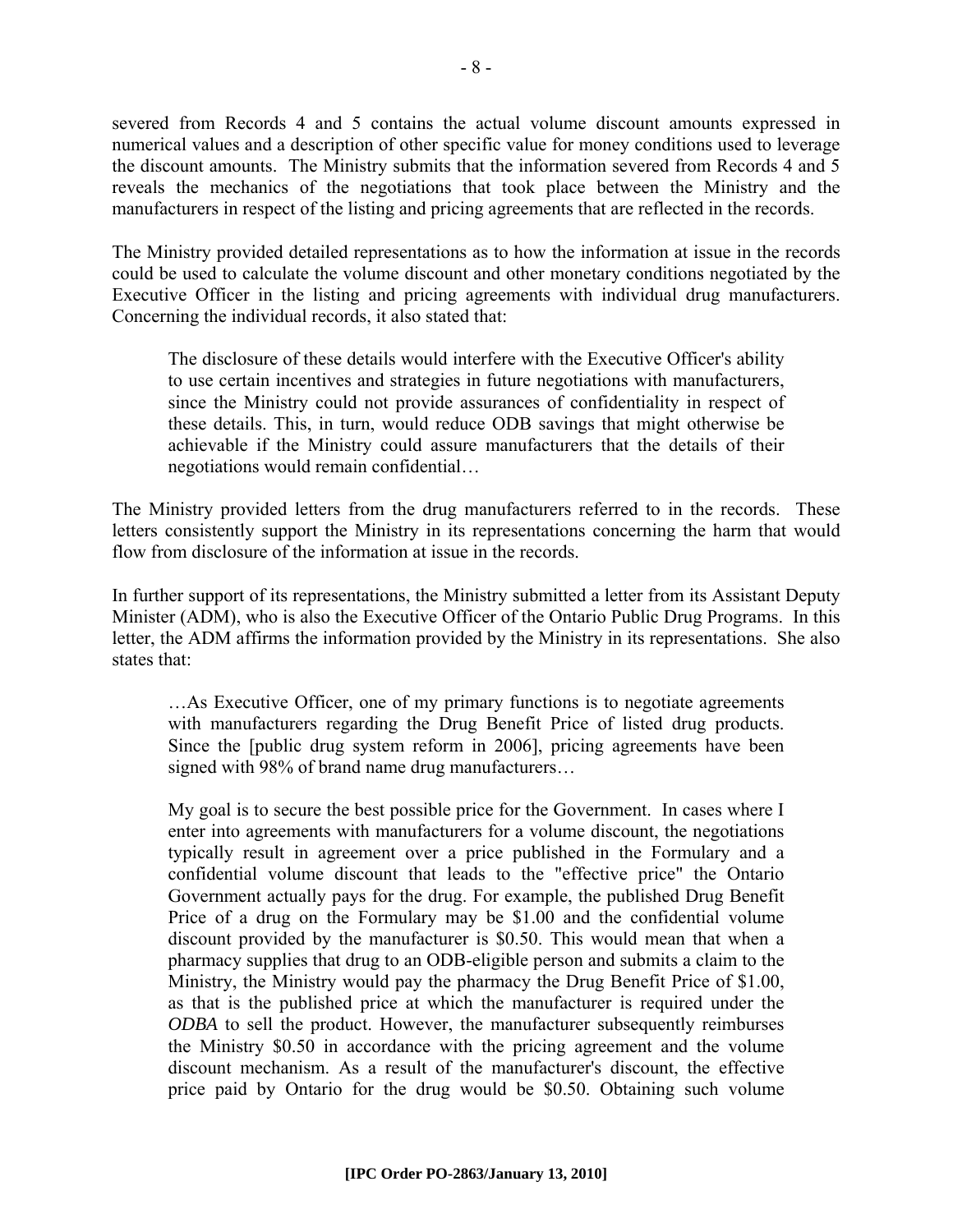severed from Records 4 and 5 contains the actual volume discount amounts expressed in numerical values and a description of other specific value for money conditions used to leverage the discount amounts. The Ministry submits that the information severed from Records 4 and 5 reveals the mechanics of the negotiations that took place between the Ministry and the manufacturers in respect of the listing and pricing agreements that are reflected in the records.

The Ministry provided detailed representations as to how the information at issue in the records could be used to calculate the volume discount and other monetary conditions negotiated by the Executive Officer in the listing and pricing agreements with individual drug manufacturers. Concerning the individual records, it also stated that:

The disclosure of these details would interfere with the Executive Officer's ability to use certain incentives and strategies in future negotiations with manufacturers, since the Ministry could not provide assurances of confidentiality in respect of these details. This, in turn, would reduce ODB savings that might otherwise be achievable if the Ministry could assure manufacturers that the details of their negotiations would remain confidential…

The Ministry provided letters from the drug manufacturers referred to in the records. These letters consistently support the Ministry in its representations concerning the harm that would flow from disclosure of the information at issue in the records.

In further support of its representations, the Ministry submitted a letter from its Assistant Deputy Minister (ADM), who is also the Executive Officer of the Ontario Public Drug Programs. In this letter, the ADM affirms the information provided by the Ministry in its representations. She also states that:

…As Executive Officer, one of my primary functions is to negotiate agreements with manufacturers regarding the Drug Benefit Price of listed drug products. Since the [public drug system reform in 2006], pricing agreements have been signed with 98% of brand name drug manufacturers…

My goal is to secure the best possible price for the Government. In cases where I enter into agreements with manufacturers for a volume discount, the negotiations typically result in agreement over a price published in the Formulary and a confidential volume discount that leads to the "effective price" the Ontario Government actually pays for the drug. For example, the published Drug Benefit Price of a drug on the Formulary may be \$1.00 and the confidential volume discount provided by the manufacturer is \$0.50. This would mean that when a pharmacy supplies that drug to an ODB-eligible person and submits a claim to the Ministry, the Ministry would pay the pharmacy the Drug Benefit Price of \$1.00, as that is the published price at which the manufacturer is required under the *ODBA* to sell the product. However, the manufacturer subsequently reimburses the Ministry \$0.50 in accordance with the pricing agreement and the volume discount mechanism. As a result of the manufacturer's discount, the effective price paid by Ontario for the drug would be \$0.50. Obtaining such volume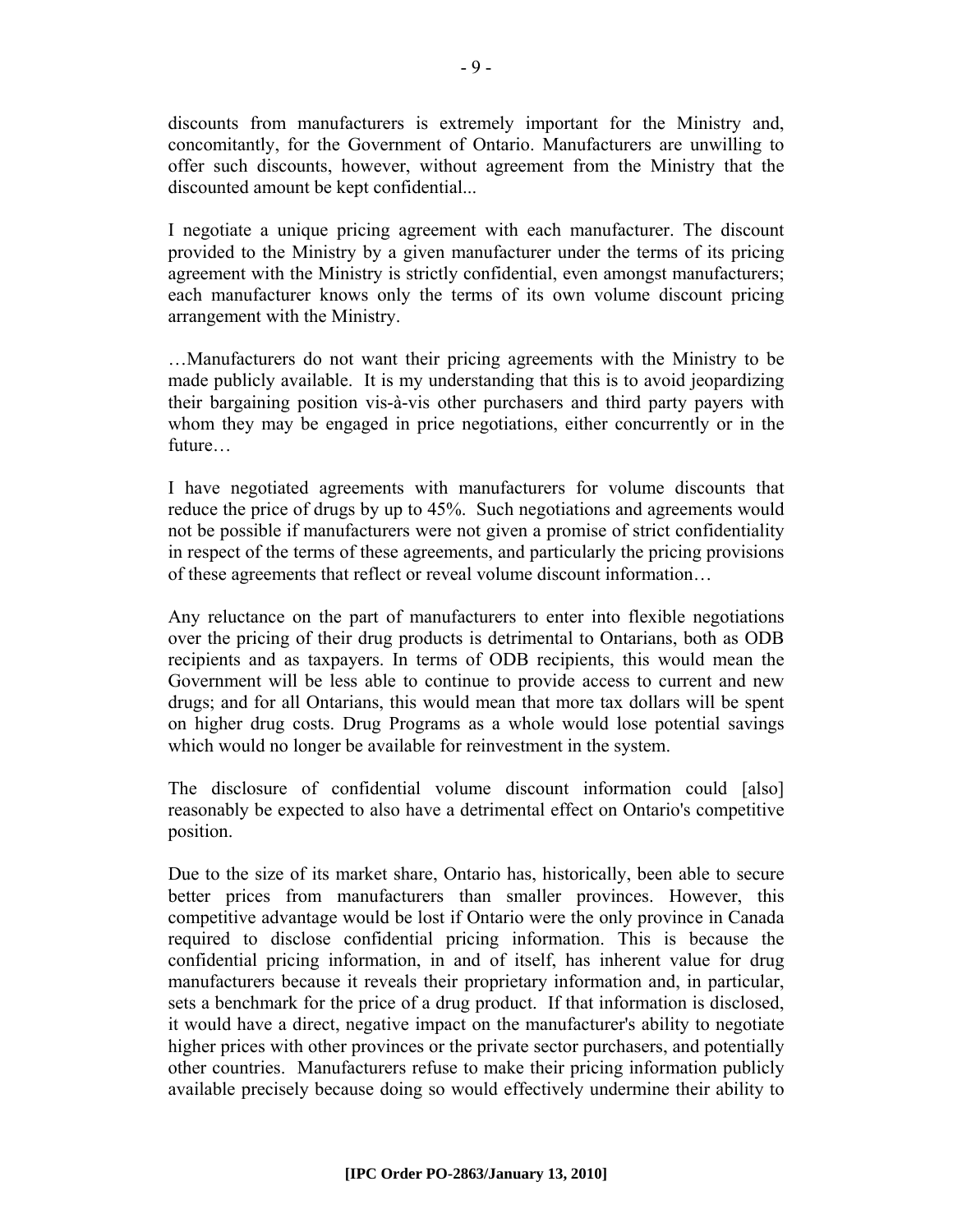discounts from manufacturers is extremely important for the Ministry and, concomitantly, for the Government of Ontario. Manufacturers are unwilling to offer such discounts, however, without agreement from the Ministry that the discounted amount be kept confidential...

I negotiate a unique pricing agreement with each manufacturer. The discount provided to the Ministry by a given manufacturer under the terms of its pricing agreement with the Ministry is strictly confidential, even amongst manufacturers; each manufacturer knows only the terms of its own volume discount pricing arrangement with the Ministry.

…Manufacturers do not want their pricing agreements with the Ministry to be made publicly available. It is my understanding that this is to avoid jeopardizing their bargaining position vis-à-vis other purchasers and third party payers with whom they may be engaged in price negotiations, either concurrently or in the future…

I have negotiated agreements with manufacturers for volume discounts that reduce the price of drugs by up to 45%. Such negotiations and agreements would not be possible if manufacturers were not given a promise of strict confidentiality in respect of the terms of these agreements, and particularly the pricing provisions of these agreements that reflect or reveal volume discount information…

Any reluctance on the part of manufacturers to enter into flexible negotiations over the pricing of their drug products is detrimental to Ontarians, both as ODB recipients and as taxpayers. In terms of ODB recipients, this would mean the Government will be less able to continue to provide access to current and new drugs; and for all Ontarians, this would mean that more tax dollars will be spent on higher drug costs. Drug Programs as a whole would lose potential savings which would no longer be available for reinvestment in the system.

The disclosure of confidential volume discount information could [also] reasonably be expected to also have a detrimental effect on Ontario's competitive position.

Due to the size of its market share, Ontario has, historically, been able to secure better prices from manufacturers than smaller provinces. However, this competitive advantage would be lost if Ontario were the only province in Canada required to disclose confidential pricing information. This is because the confidential pricing information, in and of itself, has inherent value for drug manufacturers because it reveals their proprietary information and, in particular, sets a benchmark for the price of a drug product. If that information is disclosed, it would have a direct, negative impact on the manufacturer's ability to negotiate higher prices with other provinces or the private sector purchasers, and potentially other countries. Manufacturers refuse to make their pricing information publicly available precisely because doing so would effectively undermine their ability to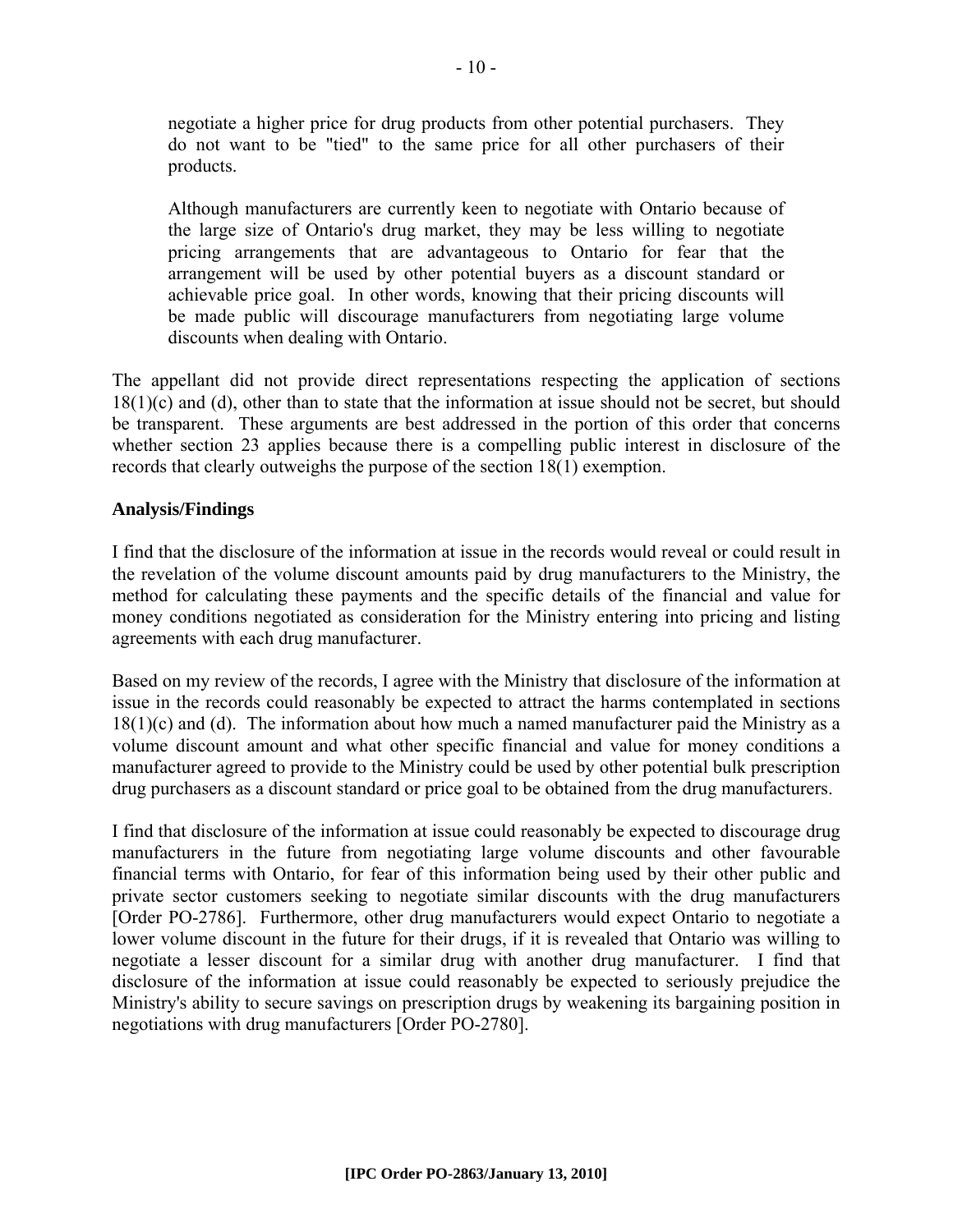negotiate a higher price for drug products from other potential purchasers. They do not want to be "tied" to the same price for all other purchasers of their products.

Although manufacturers are currently keen to negotiate with Ontario because of the large size of Ontario's drug market, they may be less willing to negotiate pricing arrangements that are advantageous to Ontario for fear that the arrangement will be used by other potential buyers as a discount standard or achievable price goal. In other words, knowing that their pricing discounts will be made public will discourage manufacturers from negotiating large volume discounts when dealing with Ontario.

The appellant did not provide direct representations respecting the application of sections 18(1)(c) and (d), other than to state that the information at issue should not be secret, but should be transparent. These arguments are best addressed in the portion of this order that concerns whether section 23 applies because there is a compelling public interest in disclosure of the records that clearly outweighs the purpose of the section 18(1) exemption.

# **Analysis/Findings**

I find that the disclosure of the information at issue in the records would reveal or could result in the revelation of the volume discount amounts paid by drug manufacturers to the Ministry, the method for calculating these payments and the specific details of the financial and value for money conditions negotiated as consideration for the Ministry entering into pricing and listing agreements with each drug manufacturer.

Based on my review of the records, I agree with the Ministry that disclosure of the information at issue in the records could reasonably be expected to attract the harms contemplated in sections  $18(1)(c)$  and (d). The information about how much a named manufacturer paid the Ministry as a volume discount amount and what other specific financial and value for money conditions a manufacturer agreed to provide to the Ministry could be used by other potential bulk prescription drug purchasers as a discount standard or price goal to be obtained from the drug manufacturers.

I find that disclosure of the information at issue could reasonably be expected to discourage drug manufacturers in the future from negotiating large volume discounts and other favourable financial terms with Ontario, for fear of this information being used by their other public and private sector customers seeking to negotiate similar discounts with the drug manufacturers [Order PO-2786]. Furthermore, other drug manufacturers would expect Ontario to negotiate a lower volume discount in the future for their drugs, if it is revealed that Ontario was willing to negotiate a lesser discount for a similar drug with another drug manufacturer. I find that disclosure of the information at issue could reasonably be expected to seriously prejudice the Ministry's ability to secure savings on prescription drugs by weakening its bargaining position in negotiations with drug manufacturers [Order PO-2780].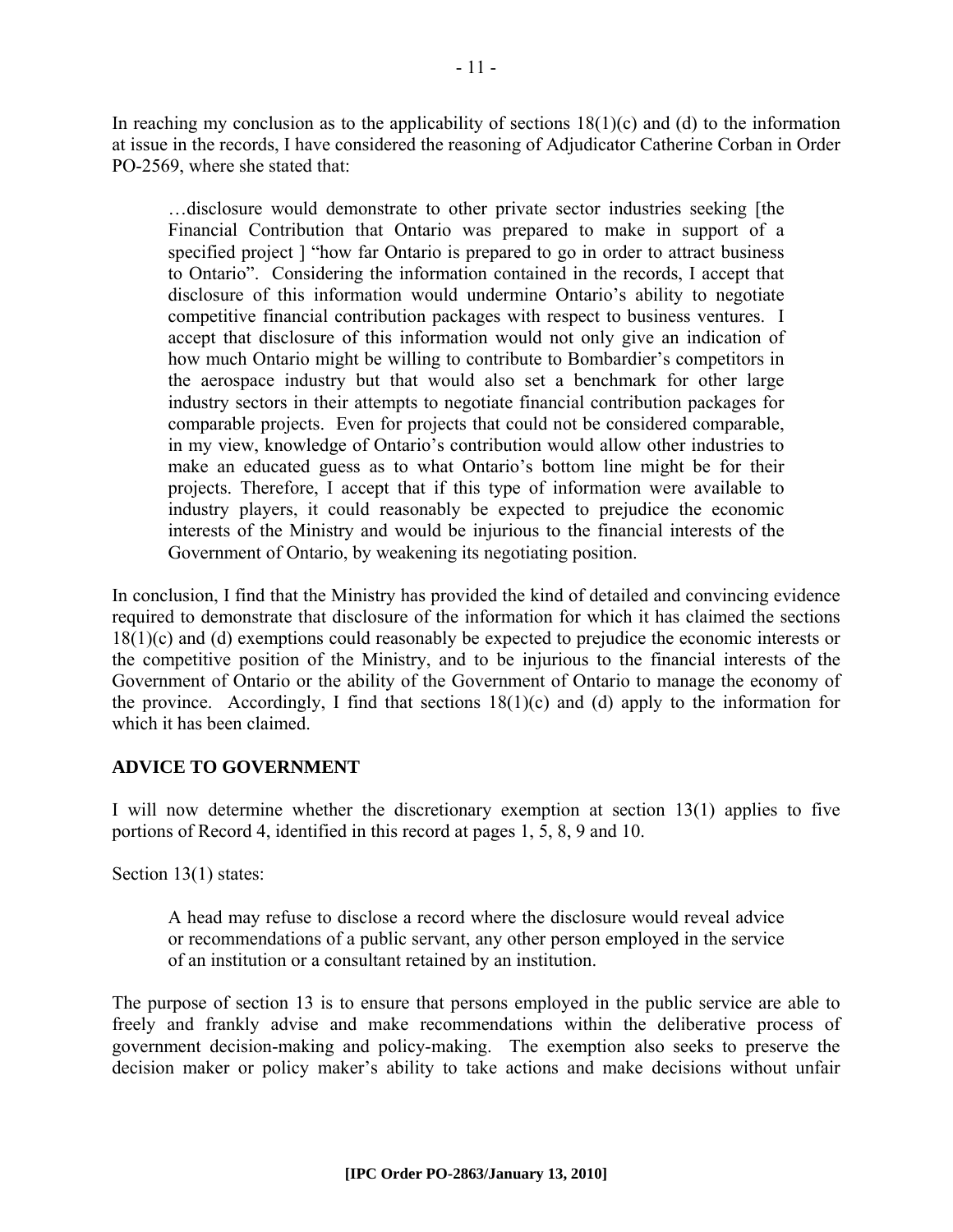In reaching my conclusion as to the applicability of sections  $18(1)(c)$  and (d) to the information at issue in the records, I have considered the reasoning of Adjudicator Catherine Corban in Order PO-2569, where she stated that:

…disclosure would demonstrate to other private sector industries seeking [the Financial Contribution that Ontario was prepared to make in support of a specified project ] "how far Ontario is prepared to go in order to attract business to Ontario". Considering the information contained in the records, I accept that disclosure of this information would undermine Ontario's ability to negotiate competitive financial contribution packages with respect to business ventures. I accept that disclosure of this information would not only give an indication of how much Ontario might be willing to contribute to Bombardier's competitors in the aerospace industry but that would also set a benchmark for other large industry sectors in their attempts to negotiate financial contribution packages for comparable projects. Even for projects that could not be considered comparable, in my view, knowledge of Ontario's contribution would allow other industries to make an educated guess as to what Ontario's bottom line might be for their projects. Therefore, I accept that if this type of information were available to industry players, it could reasonably be expected to prejudice the economic interests of the Ministry and would be injurious to the financial interests of the Government of Ontario, by weakening its negotiating position.

In conclusion, I find that the Ministry has provided the kind of detailed and convincing evidence required to demonstrate that disclosure of the information for which it has claimed the sections 18(1)(c) and (d) exemptions could reasonably be expected to prejudice the economic interests or the competitive position of the Ministry, and to be injurious to the financial interests of the Government of Ontario or the ability of the Government of Ontario to manage the economy of the province. Accordingly, I find that sections  $18(1)(c)$  and (d) apply to the information for which it has been claimed.

# **ADVICE TO GOVERNMENT**

I will now determine whether the discretionary exemption at section 13(1) applies to five portions of Record 4, identified in this record at pages 1, 5, 8, 9 and 10.

Section 13(1) states:

A head may refuse to disclose a record where the disclosure would reveal advice or recommendations of a public servant, any other person employed in the service of an institution or a consultant retained by an institution.

The purpose of section 13 is to ensure that persons employed in the public service are able to freely and frankly advise and make recommendations within the deliberative process of government decision-making and policy-making. The exemption also seeks to preserve the decision maker or policy maker's ability to take actions and make decisions without unfair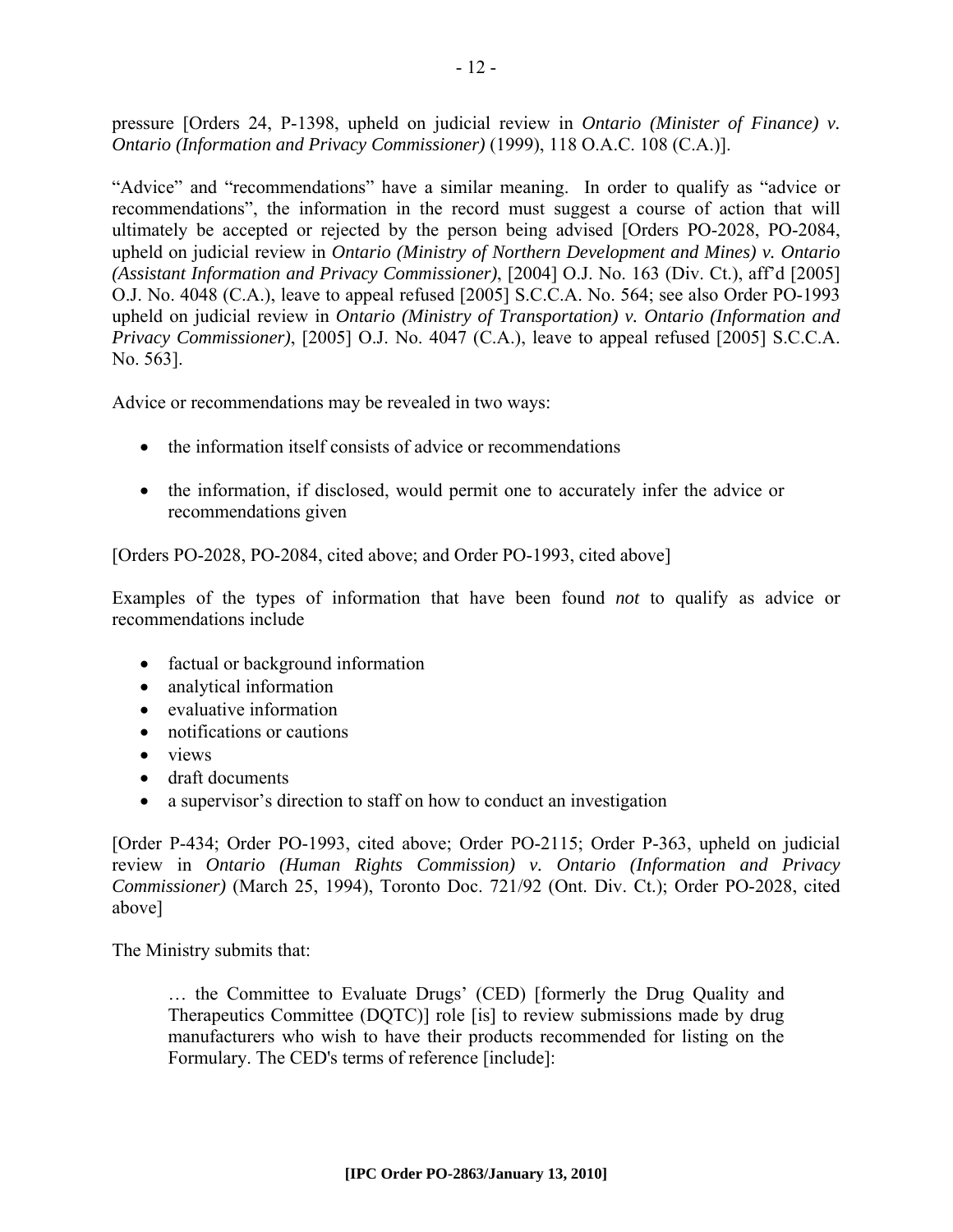pressure [Orders 24, P-1398, upheld on judicial review in *Ontario (Minister of Finance) v. Ontario (Information and Privacy Commissioner)* (1999), 118 O.A.C. 108 (C.A.)].

"Advice" and "recommendations" have a similar meaning. In order to qualify as "advice or recommendations", the information in the record must suggest a course of action that will ultimately be accepted or rejected by the person being advised [Orders PO-2028, PO-2084, upheld on judicial review in *Ontario (Ministry of Northern Development and Mines) v. Ontario (Assistant Information and Privacy Commissioner)*, [2004] O.J. No. 163 (Div. Ct.), aff'd [2005] O.J. No. 4048 (C.A.), leave to appeal refused [2005] S.C.C.A. No. 564; see also Order PO-1993 upheld on judicial review in *Ontario (Ministry of Transportation) v. Ontario (Information and Privacy Commissioner)*, [2005] O.J. No. 4047 (C.A.), leave to appeal refused [2005] S.C.C.A. No. 563].

Advice or recommendations may be revealed in two ways:

- the information itself consists of advice or recommendations
- the information, if disclosed, would permit one to accurately infer the advice or recommendations given

[Orders PO-2028, PO-2084, cited above; and Order PO-1993, cited above]

Examples of the types of information that have been found *not* to qualify as advice or recommendations include

- factual or background information
- analytical information
- evaluative information
- notifications or cautions
- views
- draft documents
- a supervisor's direction to staff on how to conduct an investigation

[Order P-434; Order PO-1993, cited above; Order PO-2115; Order P-363, upheld on judicial review in *Ontario (Human Rights Commission) v. Ontario (Information and Privacy Commissioner)* (March 25, 1994), Toronto Doc. 721/92 (Ont. Div. Ct.); Order PO-2028, cited above]

The Ministry submits that:

… the Committee to Evaluate Drugs' (CED) [formerly the Drug Quality and Therapeutics Committee (DQTC)] role [is] to review submissions made by drug manufacturers who wish to have their products recommended for listing on the Formulary. The CED's terms of reference [include]: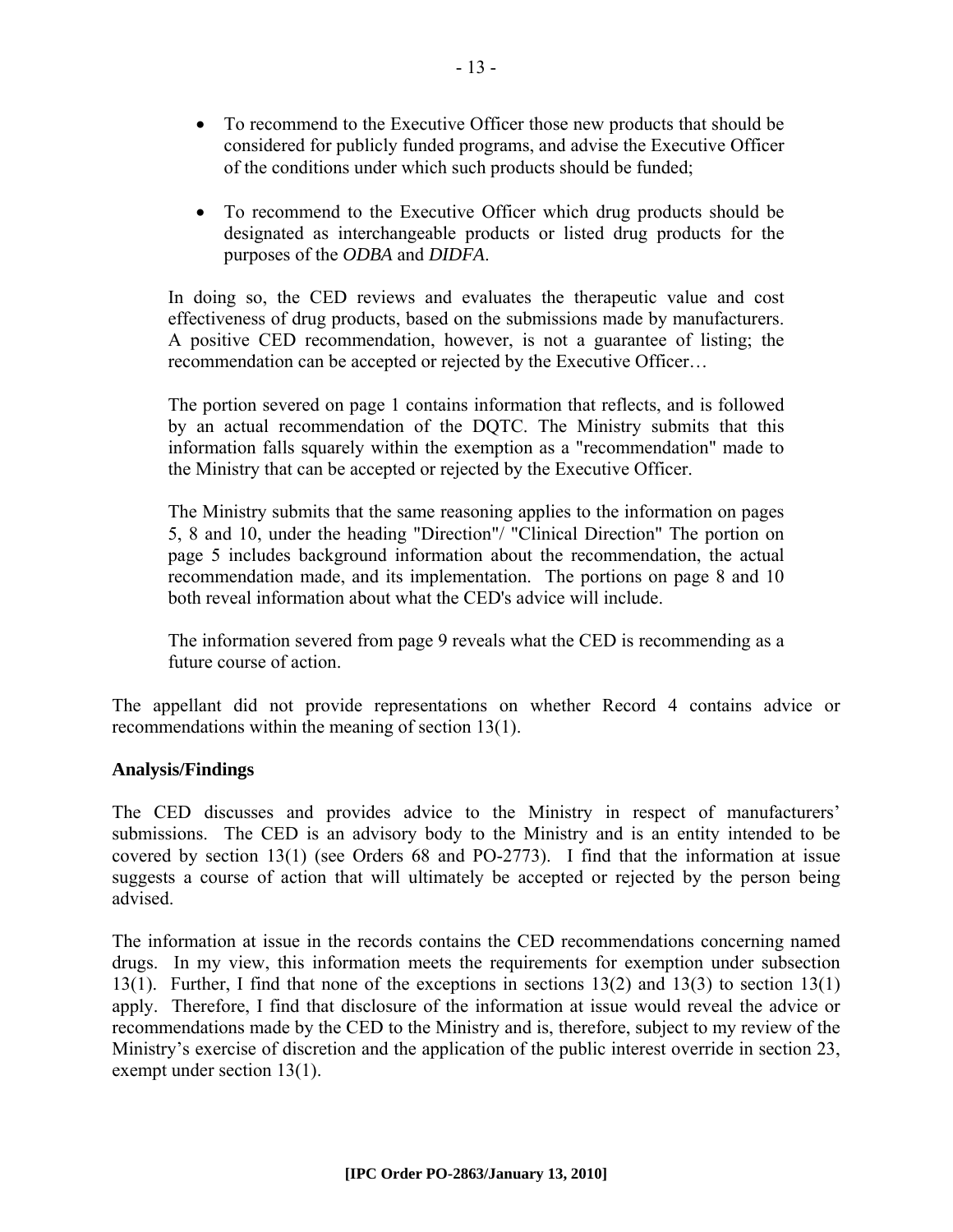- To recommend to the Executive Officer those new products that should be considered for publicly funded programs, and advise the Executive Officer of the conditions under which such products should be funded;
- To recommend to the Executive Officer which drug products should be designated as interchangeable products or listed drug products for the purposes of the *ODBA* and *DIDFA*.

In doing so, the CED reviews and evaluates the therapeutic value and cost effectiveness of drug products, based on the submissions made by manufacturers. A positive CED recommendation, however, is not a guarantee of listing; the recommendation can be accepted or rejected by the Executive Officer…

The portion severed on page 1 contains information that reflects, and is followed by an actual recommendation of the DQTC. The Ministry submits that this information falls squarely within the exemption as a "recommendation" made to the Ministry that can be accepted or rejected by the Executive Officer.

The Ministry submits that the same reasoning applies to the information on pages 5, 8 and 10, under the heading "Direction"/ "Clinical Direction" The portion on page 5 includes background information about the recommendation, the actual recommendation made, and its implementation. The portions on page 8 and 10 both reveal information about what the CED's advice will include.

The information severed from page 9 reveals what the CED is recommending as a future course of action.

The appellant did not provide representations on whether Record 4 contains advice or recommendations within the meaning of section 13(1).

# **Analysis/Findings**

The CED discusses and provides advice to the Ministry in respect of manufacturers' submissions. The CED is an advisory body to the Ministry and is an entity intended to be covered by section 13(1) (see Orders 68 and PO-2773). I find that the information at issue suggests a course of action that will ultimately be accepted or rejected by the person being advised.

The information at issue in the records contains the CED recommendations concerning named drugs. In my view, this information meets the requirements for exemption under subsection 13(1). Further, I find that none of the exceptions in sections 13(2) and 13(3) to section 13(1) apply. Therefore, I find that disclosure of the information at issue would reveal the advice or recommendations made by the CED to the Ministry and is, therefore, subject to my review of the Ministry's exercise of discretion and the application of the public interest override in section 23, exempt under section 13(1).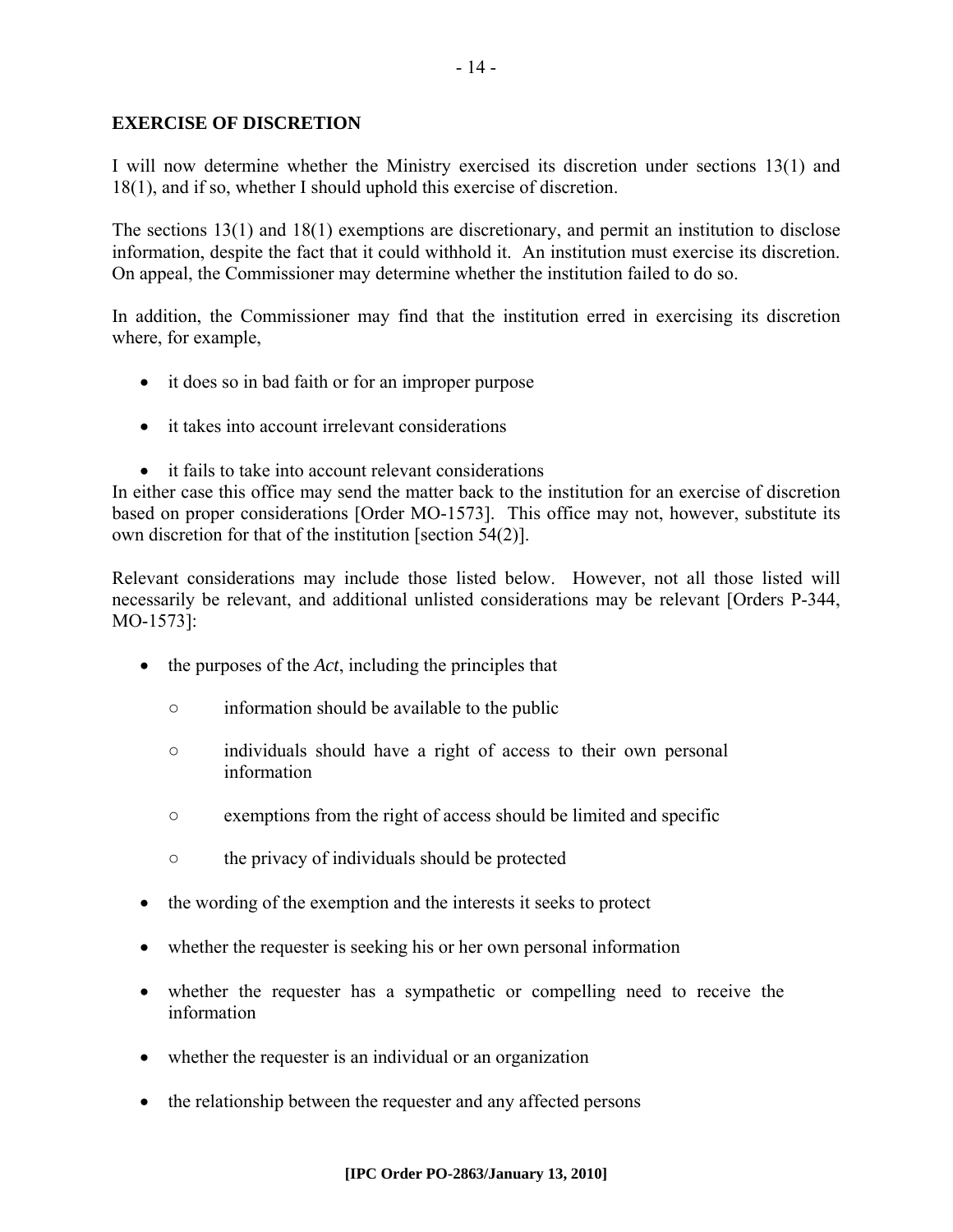## **EXERCISE OF DISCRETION**

I will now determine whether the Ministry exercised its discretion under sections 13(1) and 18(1), and if so, whether I should uphold this exercise of discretion.

The sections 13(1) and 18(1) exemptions are discretionary, and permit an institution to disclose information, despite the fact that it could withhold it. An institution must exercise its discretion. On appeal, the Commissioner may determine whether the institution failed to do so.

In addition, the Commissioner may find that the institution erred in exercising its discretion where, for example,

- it does so in bad faith or for an improper purpose
- it takes into account irrelevant considerations
- it fails to take into account relevant considerations

In either case this office may send the matter back to the institution for an exercise of discretion based on proper considerations [Order MO-1573]. This office may not, however, substitute its own discretion for that of the institution [section 54(2)].

Relevant considerations may include those listed below. However, not all those listed will necessarily be relevant, and additional unlisted considerations may be relevant [Orders P-344, MO-1573]:

- the purposes of the *Act*, including the principles that
	- information should be available to the public
	- individuals should have a right of access to their own personal information
	- exemptions from the right of access should be limited and specific
	- the privacy of individuals should be protected
- the wording of the exemption and the interests it seeks to protect
- whether the requester is seeking his or her own personal information
- whether the requester has a sympathetic or compelling need to receive the information
- whether the requester is an individual or an organization
- the relationship between the requester and any affected persons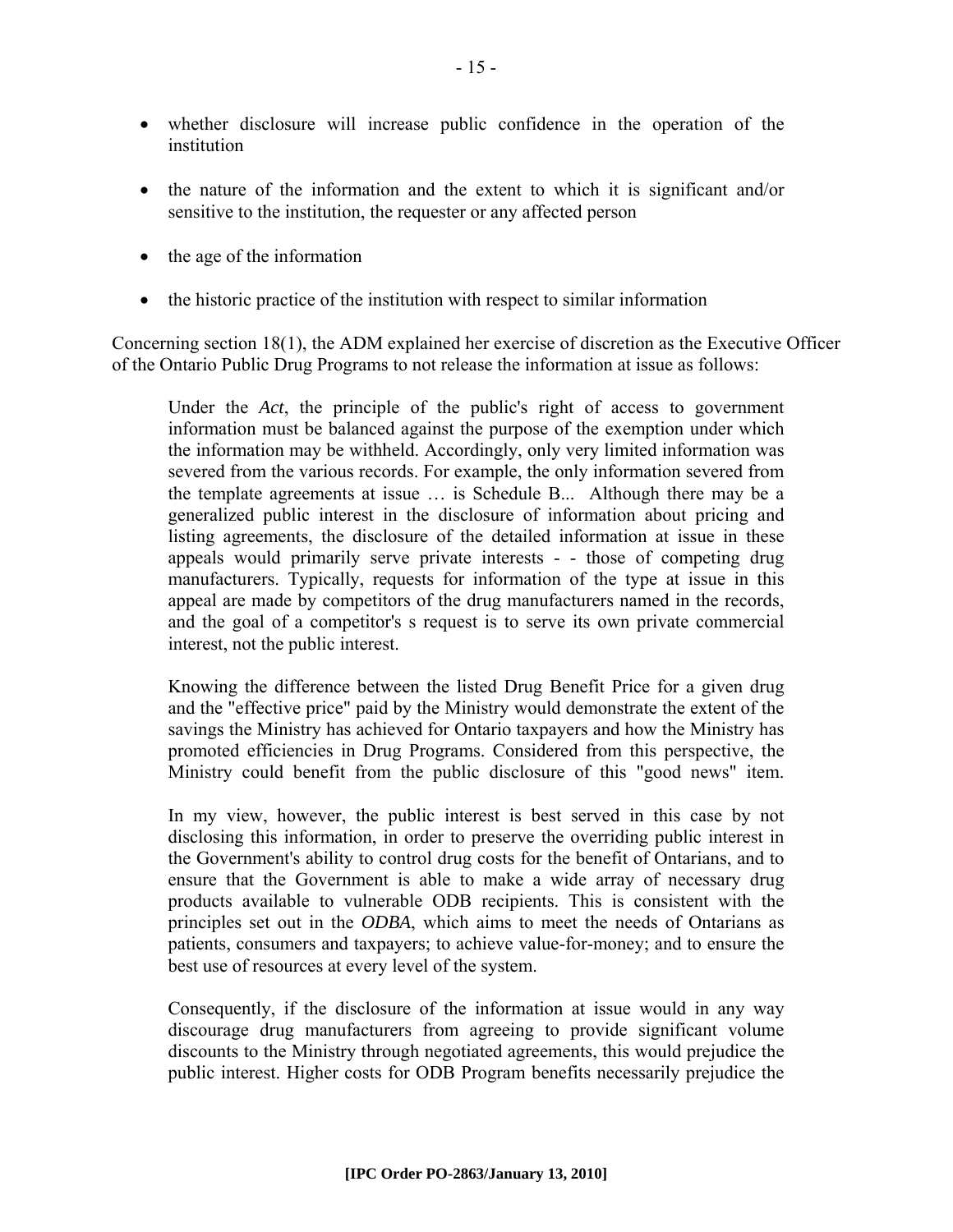- whether disclosure will increase public confidence in the operation of the institution
- the nature of the information and the extent to which it is significant and/or sensitive to the institution, the requester or any affected person
- the age of the information
- the historic practice of the institution with respect to similar information

Concerning section 18(1), the ADM explained her exercise of discretion as the Executive Officer of the Ontario Public Drug Programs to not release the information at issue as follows:

Under the *Act*, the principle of the public's right of access to government information must be balanced against the purpose of the exemption under which the information may be withheld. Accordingly, only very limited information was severed from the various records. For example, the only information severed from the template agreements at issue … is Schedule B... Although there may be a generalized public interest in the disclosure of information about pricing and listing agreements, the disclosure of the detailed information at issue in these appeals would primarily serve private interests - - those of competing drug manufacturers. Typically, requests for information of the type at issue in this appeal are made by competitors of the drug manufacturers named in the records, and the goal of a competitor's s request is to serve its own private commercial interest, not the public interest.

Knowing the difference between the listed Drug Benefit Price for a given drug and the "effective price" paid by the Ministry would demonstrate the extent of the savings the Ministry has achieved for Ontario taxpayers and how the Ministry has promoted efficiencies in Drug Programs. Considered from this perspective, the Ministry could benefit from the public disclosure of this "good news" item.

In my view, however, the public interest is best served in this case by not disclosing this information, in order to preserve the overriding public interest in the Government's ability to control drug costs for the benefit of Ontarians, and to ensure that the Government is able to make a wide array of necessary drug products available to vulnerable ODB recipients. This is consistent with the principles set out in the *ODBA*, which aims to meet the needs of Ontarians as patients, consumers and taxpayers; to achieve value-for-money; and to ensure the best use of resources at every level of the system.

Consequently, if the disclosure of the information at issue would in any way discourage drug manufacturers from agreeing to provide significant volume discounts to the Ministry through negotiated agreements, this would prejudice the public interest. Higher costs for ODB Program benefits necessarily prejudice the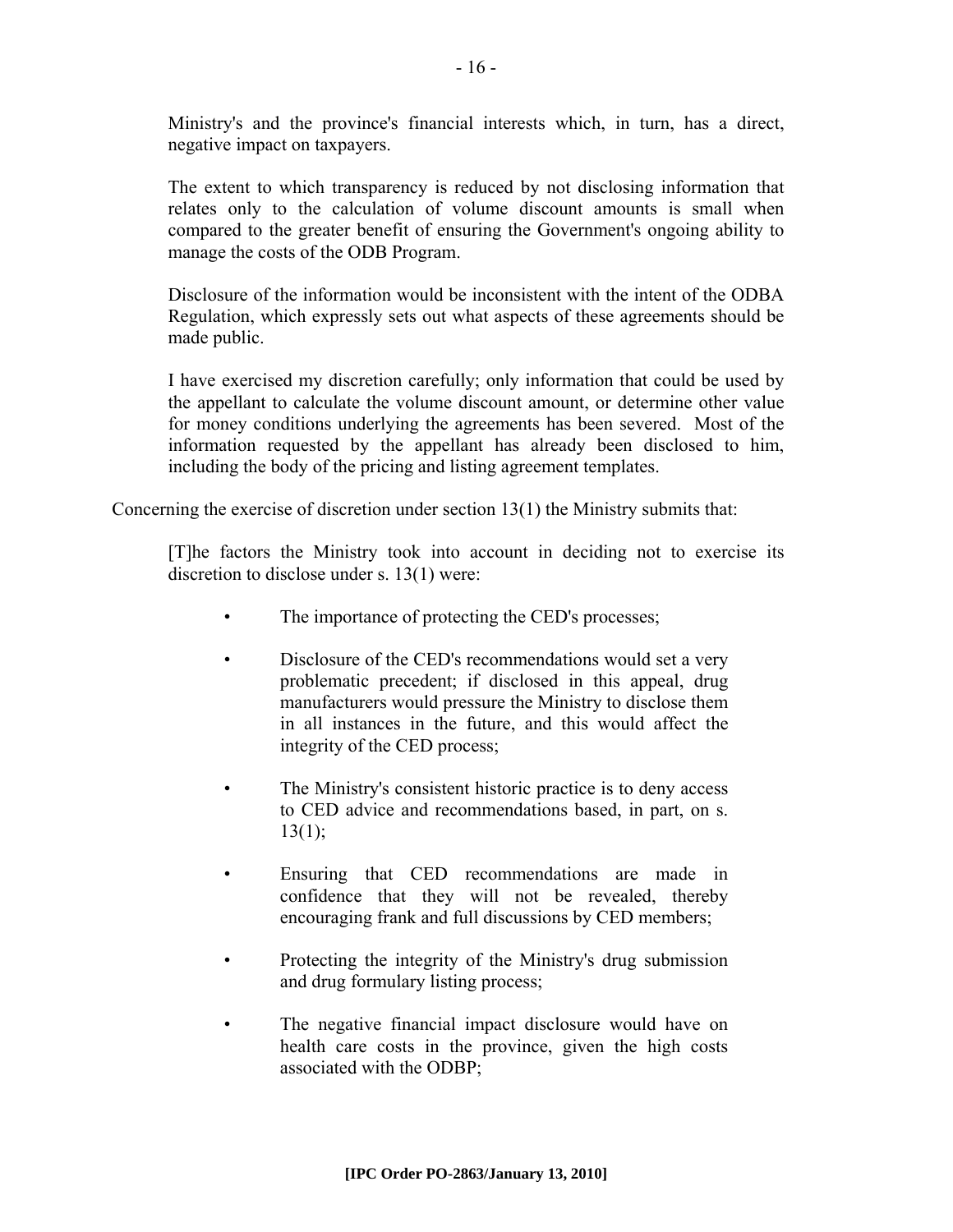Ministry's and the province's financial interests which, in turn, has a direct, negative impact on taxpayers.

The extent to which transparency is reduced by not disclosing information that relates only to the calculation of volume discount amounts is small when compared to the greater benefit of ensuring the Government's ongoing ability to manage the costs of the ODB Program.

Disclosure of the information would be inconsistent with the intent of the ODBA Regulation, which expressly sets out what aspects of these agreements should be made public.

I have exercised my discretion carefully; only information that could be used by the appellant to calculate the volume discount amount, or determine other value for money conditions underlying the agreements has been severed. Most of the information requested by the appellant has already been disclosed to him, including the body of the pricing and listing agreement templates.

Concerning the exercise of discretion under section  $13(1)$  the Ministry submits that:

[T]he factors the Ministry took into account in deciding not to exercise its discretion to disclose under s. 13(1) were:

- The importance of protecting the CED's processes;
- Disclosure of the CED's recommendations would set a very problematic precedent; if disclosed in this appeal, drug manufacturers would pressure the Ministry to disclose them in all instances in the future, and this would affect the integrity of the CED process;
- The Ministry's consistent historic practice is to deny access to CED advice and recommendations based, in part, on s.  $13(1)$ ;
- Ensuring that CED recommendations are made in confidence that they will not be revealed, thereby encouraging frank and full discussions by CED members;
- Protecting the integrity of the Ministry's drug submission and drug formulary listing process;
- The negative financial impact disclosure would have on health care costs in the province, given the high costs associated with the ODBP;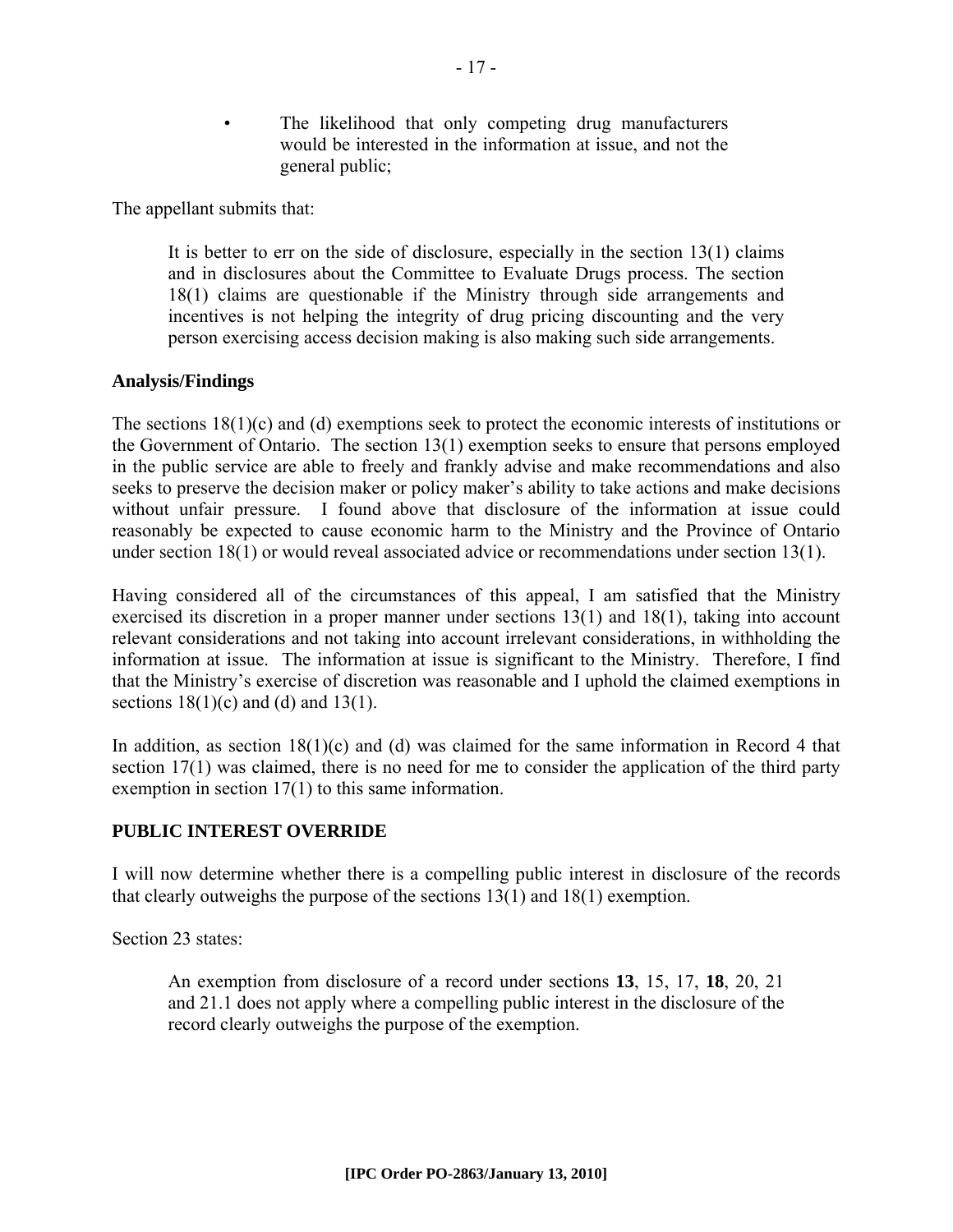The likelihood that only competing drug manufacturers would be interested in the information at issue, and not the general public;

The appellant submits that:

It is better to err on the side of disclosure, especially in the section  $13(1)$  claims and in disclosures about the Committee to Evaluate Drugs process. The section 18(1) claims are questionable if the Ministry through side arrangements and incentives is not helping the integrity of drug pricing discounting and the very person exercising access decision making is also making such side arrangements.

# **Analysis/Findings**

The sections 18(1)(c) and (d) exemptions seek to protect the economic interests of institutions or the Government of Ontario. The section 13(1) exemption seeks to ensure that persons employed in the public service are able to freely and frankly advise and make recommendations and also seeks to preserve the decision maker or policy maker's ability to take actions and make decisions without unfair pressure. I found above that disclosure of the information at issue could reasonably be expected to cause economic harm to the Ministry and the Province of Ontario under section 18(1) or would reveal associated advice or recommendations under section 13(1).

Having considered all of the circumstances of this appeal, I am satisfied that the Ministry exercised its discretion in a proper manner under sections 13(1) and 18(1), taking into account relevant considerations and not taking into account irrelevant considerations, in withholding the information at issue. The information at issue is significant to the Ministry. Therefore, I find that the Ministry's exercise of discretion was reasonable and I uphold the claimed exemptions in sections  $18(1)(c)$  and  $(d)$  and  $13(1)$ .

In addition, as section  $18(1)(c)$  and (d) was claimed for the same information in Record 4 that section 17(1) was claimed, there is no need for me to consider the application of the third party exemption in section 17(1) to this same information.

# **PUBLIC INTEREST OVERRIDE**

I will now determine whether there is a compelling public interest in disclosure of the records that clearly outweighs the purpose of the sections 13(1) and 18(1) exemption.

Section 23 states:

An exemption from disclosure of a record under sections **13**, 15, 17, **18**, 20, 21 and 21.1 does not apply where a compelling public interest in the disclosure of the record clearly outweighs the purpose of the exemption.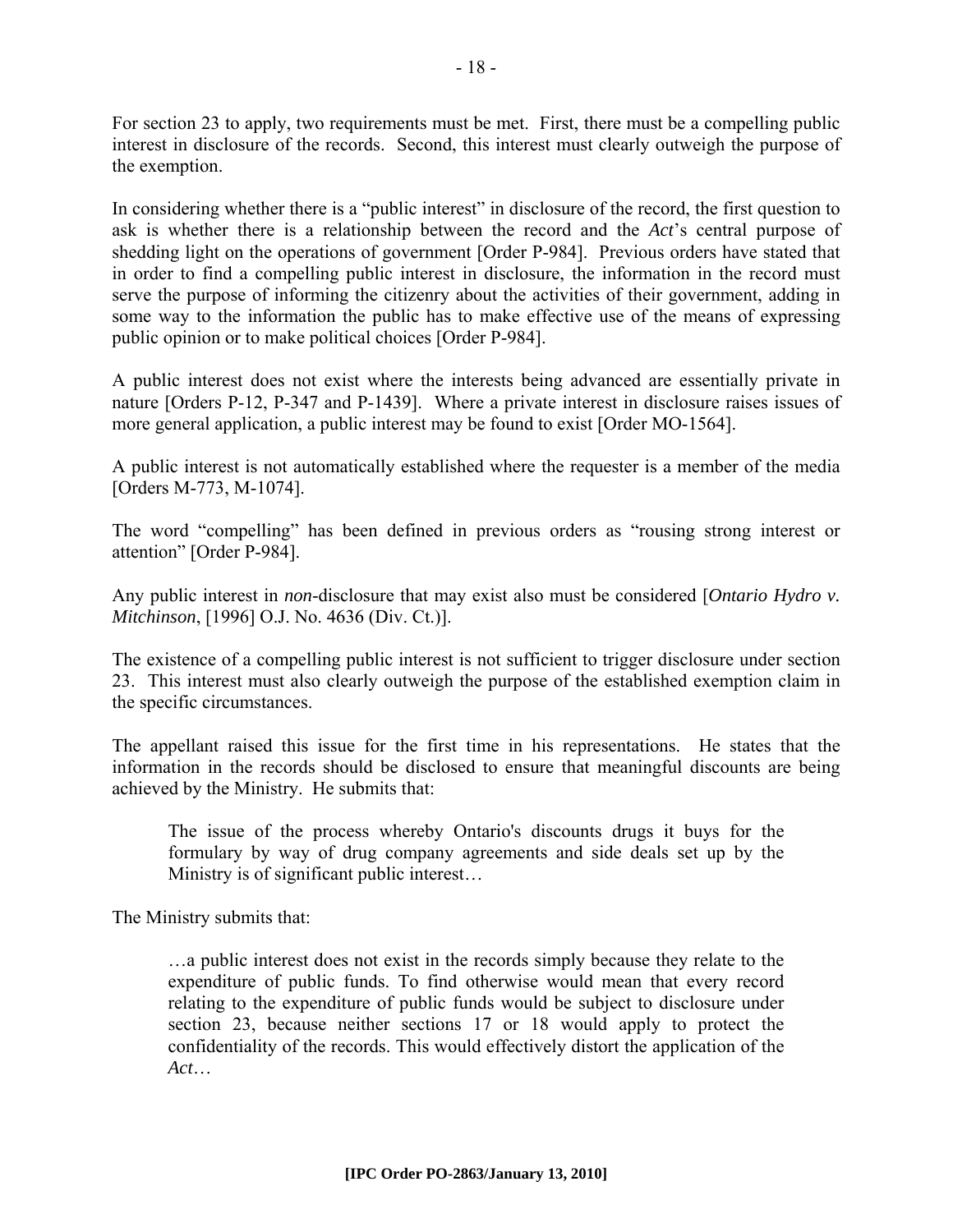For section 23 to apply, two requirements must be met. First, there must be a compelling public interest in disclosure of the records. Second, this interest must clearly outweigh the purpose of the exemption.

In considering whether there is a "public interest" in disclosure of the record, the first question to ask is whether there is a relationship between the record and the *Act*'s central purpose of shedding light on the operations of government [Order P-984]. Previous orders have stated that in order to find a compelling public interest in disclosure, the information in the record must serve the purpose of informing the citizenry about the activities of their government, adding in some way to the information the public has to make effective use of the means of expressing public opinion or to make political choices [Order P-984].

A public interest does not exist where the interests being advanced are essentially private in nature [Orders P-12, P-347 and P-1439]. Where a private interest in disclosure raises issues of more general application, a public interest may be found to exist [Order MO-1564].

A public interest is not automatically established where the requester is a member of the media [Orders M-773, M-1074].

The word "compelling" has been defined in previous orders as "rousing strong interest or attention" [Order P-984].

Any public interest in *non*-disclosure that may exist also must be considered [*Ontario Hydro v. Mitchinson*, [1996] O.J. No. 4636 (Div. Ct.)].

The existence of a compelling public interest is not sufficient to trigger disclosure under section 23. This interest must also clearly outweigh the purpose of the established exemption claim in the specific circumstances.

The appellant raised this issue for the first time in his representations. He states that the information in the records should be disclosed to ensure that meaningful discounts are being achieved by the Ministry. He submits that:

The issue of the process whereby Ontario's discounts drugs it buys for the formulary by way of drug company agreements and side deals set up by the Ministry is of significant public interest…

The Ministry submits that:

…a public interest does not exist in the records simply because they relate to the expenditure of public funds. To find otherwise would mean that every record relating to the expenditure of public funds would be subject to disclosure under section 23, because neither sections 17 or 18 would apply to protect the confidentiality of the records. This would effectively distort the application of the *Act*…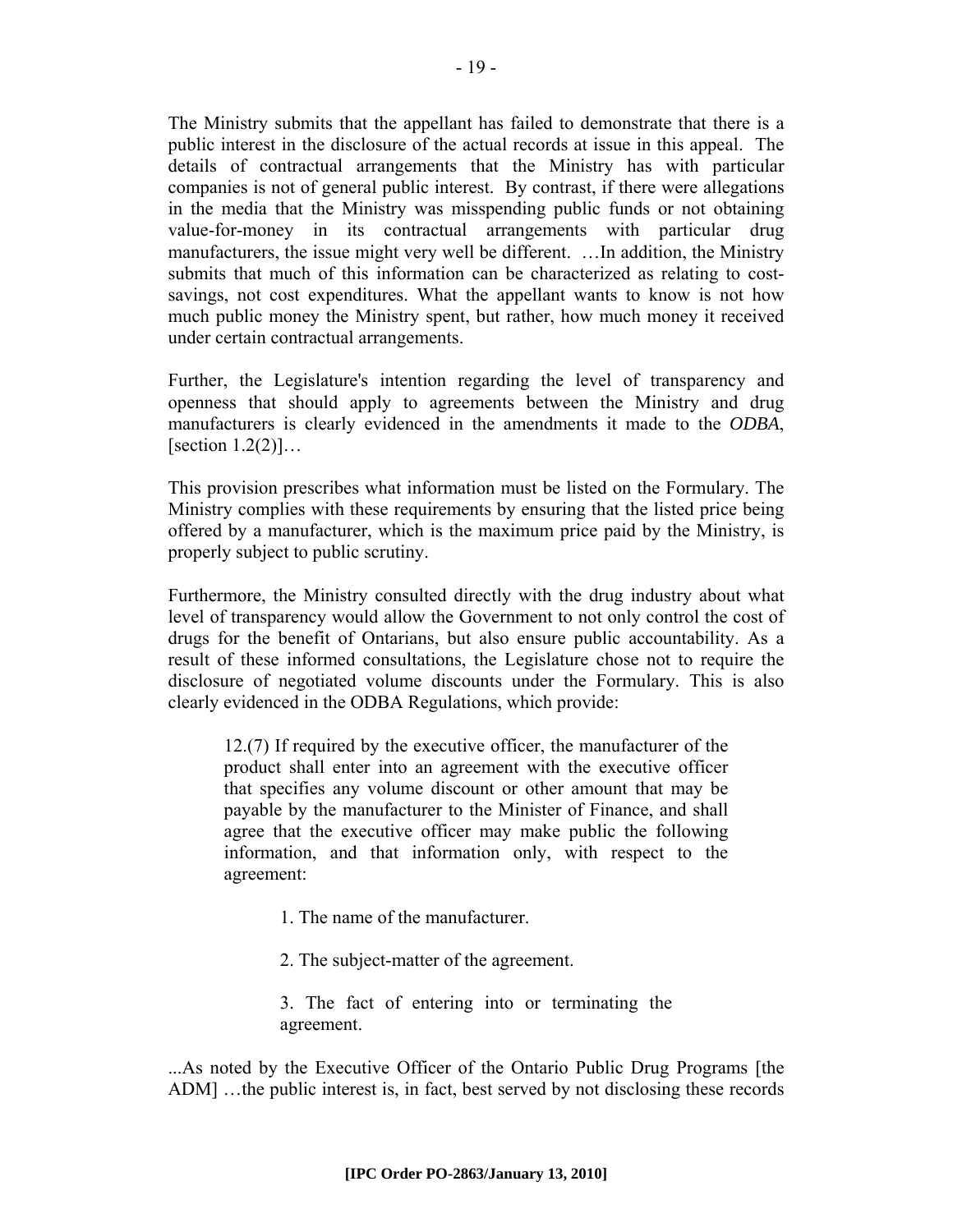The Ministry submits that the appellant has failed to demonstrate that there is a public interest in the disclosure of the actual records at issue in this appeal. The details of contractual arrangements that the Ministry has with particular companies is not of general public interest. By contrast, if there were allegations in the media that the Ministry was misspending public funds or not obtaining value-for-money in its contractual arrangements with particular drug manufacturers, the issue might very well be different. …In addition, the Ministry submits that much of this information can be characterized as relating to costsavings, not cost expenditures. What the appellant wants to know is not how much public money the Ministry spent, but rather, how much money it received under certain contractual arrangements.

Further, the Legislature's intention regarding the level of transparency and openness that should apply to agreements between the Ministry and drug manufacturers is clearly evidenced in the amendments it made to the *ODBA*, [section  $1.2(2)$ ]...

This provision prescribes what information must be listed on the Formulary. The Ministry complies with these requirements by ensuring that the listed price being offered by a manufacturer, which is the maximum price paid by the Ministry, is properly subject to public scrutiny.

Furthermore, the Ministry consulted directly with the drug industry about what level of transparency would allow the Government to not only control the cost of drugs for the benefit of Ontarians, but also ensure public accountability. As a result of these informed consultations, the Legislature chose not to require the disclosure of negotiated volume discounts under the Formulary. This is also clearly evidenced in the ODBA Regulations, which provide:

12.(7) If required by the executive officer, the manufacturer of the product shall enter into an agreement with the executive officer that specifies any volume discount or other amount that may be payable by the manufacturer to the Minister of Finance, and shall agree that the executive officer may make public the following information, and that information only, with respect to the agreement:

- 1. The name of the manufacturer.
- 2. The subject-matter of the agreement.

3. The fact of entering into or terminating the agreement.

...As noted by the Executive Officer of the Ontario Public Drug Programs [the ADM] …the public interest is, in fact, best served by not disclosing these records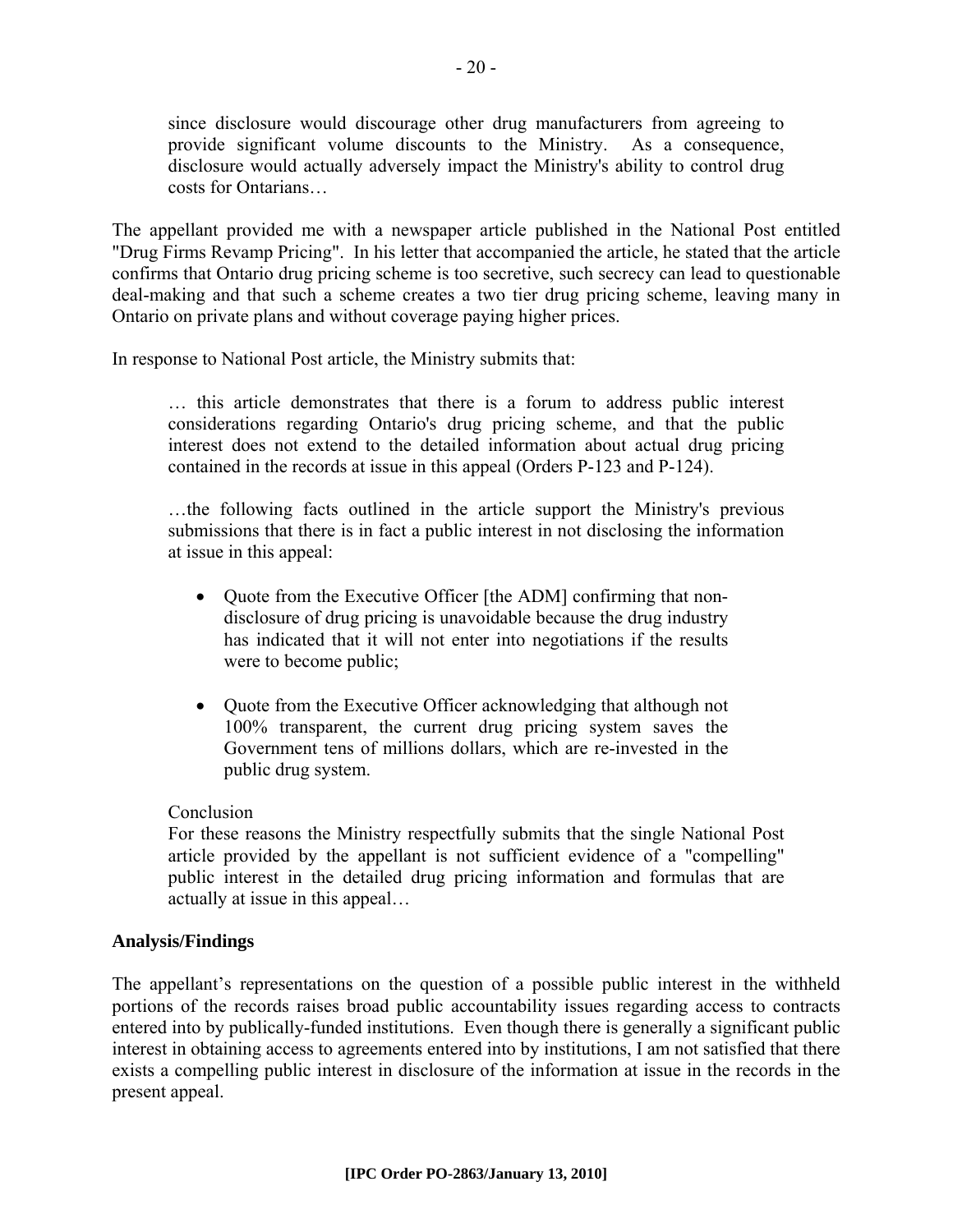since disclosure would discourage other drug manufacturers from agreeing to provide significant volume discounts to the Ministry. As a consequence, disclosure would actually adversely impact the Ministry's ability to control drug costs for Ontarians…

The appellant provided me with a newspaper article published in the National Post entitled "Drug Firms Revamp Pricing". In his letter that accompanied the article, he stated that the article confirms that Ontario drug pricing scheme is too secretive, such secrecy can lead to questionable deal-making and that such a scheme creates a two tier drug pricing scheme, leaving many in Ontario on private plans and without coverage paying higher prices.

In response to National Post article, the Ministry submits that:

… this article demonstrates that there is a forum to address public interest considerations regarding Ontario's drug pricing scheme, and that the public interest does not extend to the detailed information about actual drug pricing contained in the records at issue in this appeal (Orders P-123 and P-124).

…the following facts outlined in the article support the Ministry's previous submissions that there is in fact a public interest in not disclosing the information at issue in this appeal:

- Quote from the Executive Officer [the ADM] confirming that nondisclosure of drug pricing is unavoidable because the drug industry has indicated that it will not enter into negotiations if the results were to become public;
- Quote from the Executive Officer acknowledging that although not 100% transparent, the current drug pricing system saves the Government tens of millions dollars, which are re-invested in the public drug system.

### **Conclusion**

For these reasons the Ministry respectfully submits that the single National Post article provided by the appellant is not sufficient evidence of a "compelling" public interest in the detailed drug pricing information and formulas that are actually at issue in this appeal…

### **Analysis/Findings**

The appellant's representations on the question of a possible public interest in the withheld portions of the records raises broad public accountability issues regarding access to contracts entered into by publically-funded institutions. Even though there is generally a significant public interest in obtaining access to agreements entered into by institutions, I am not satisfied that there exists a compelling public interest in disclosure of the information at issue in the records in the present appeal.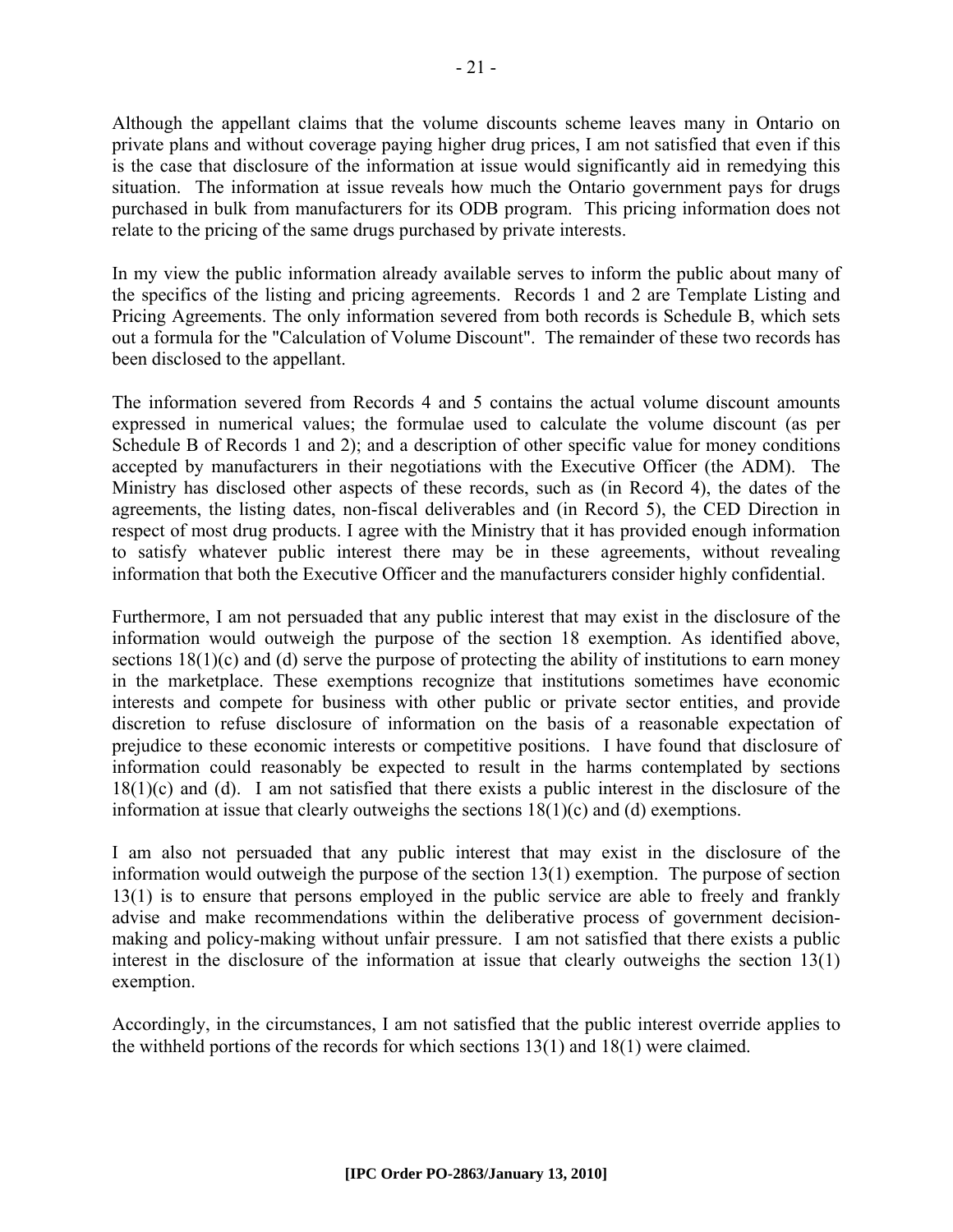Although the appellant claims that the volume discounts scheme leaves many in Ontario on private plans and without coverage paying higher drug prices, I am not satisfied that even if this is the case that disclosure of the information at issue would significantly aid in remedying this situation. The information at issue reveals how much the Ontario government pays for drugs purchased in bulk from manufacturers for its ODB program. This pricing information does not relate to the pricing of the same drugs purchased by private interests.

In my view the public information already available serves to inform the public about many of the specifics of the listing and pricing agreements. Records 1 and 2 are Template Listing and Pricing Agreements. The only information severed from both records is Schedule B, which sets out a formula for the "Calculation of Volume Discount". The remainder of these two records has been disclosed to the appellant.

The information severed from Records 4 and 5 contains the actual volume discount amounts expressed in numerical values; the formulae used to calculate the volume discount (as per Schedule B of Records 1 and 2); and a description of other specific value for money conditions accepted by manufacturers in their negotiations with the Executive Officer (the ADM). The Ministry has disclosed other aspects of these records, such as (in Record 4), the dates of the agreements, the listing dates, non-fiscal deliverables and (in Record 5), the CED Direction in respect of most drug products. I agree with the Ministry that it has provided enough information to satisfy whatever public interest there may be in these agreements, without revealing information that both the Executive Officer and the manufacturers consider highly confidential.

Furthermore, I am not persuaded that any public interest that may exist in the disclosure of the information would outweigh the purpose of the section 18 exemption. As identified above, sections 18(1)(c) and (d) serve the purpose of protecting the ability of institutions to earn money in the marketplace. These exemptions recognize that institutions sometimes have economic interests and compete for business with other public or private sector entities, and provide discretion to refuse disclosure of information on the basis of a reasonable expectation of prejudice to these economic interests or competitive positions. I have found that disclosure of information could reasonably be expected to result in the harms contemplated by sections 18(1)(c) and (d). I am not satisfied that there exists a public interest in the disclosure of the information at issue that clearly outweighs the sections 18(1)(c) and (d) exemptions.

I am also not persuaded that any public interest that may exist in the disclosure of the information would outweigh the purpose of the section 13(1) exemption. The purpose of section 13(1) is to ensure that persons employed in the public service are able to freely and frankly advise and make recommendations within the deliberative process of government decisionmaking and policy-making without unfair pressure. I am not satisfied that there exists a public interest in the disclosure of the information at issue that clearly outweighs the section 13(1) exemption.

Accordingly, in the circumstances, I am not satisfied that the public interest override applies to the withheld portions of the records for which sections 13(1) and 18(1) were claimed.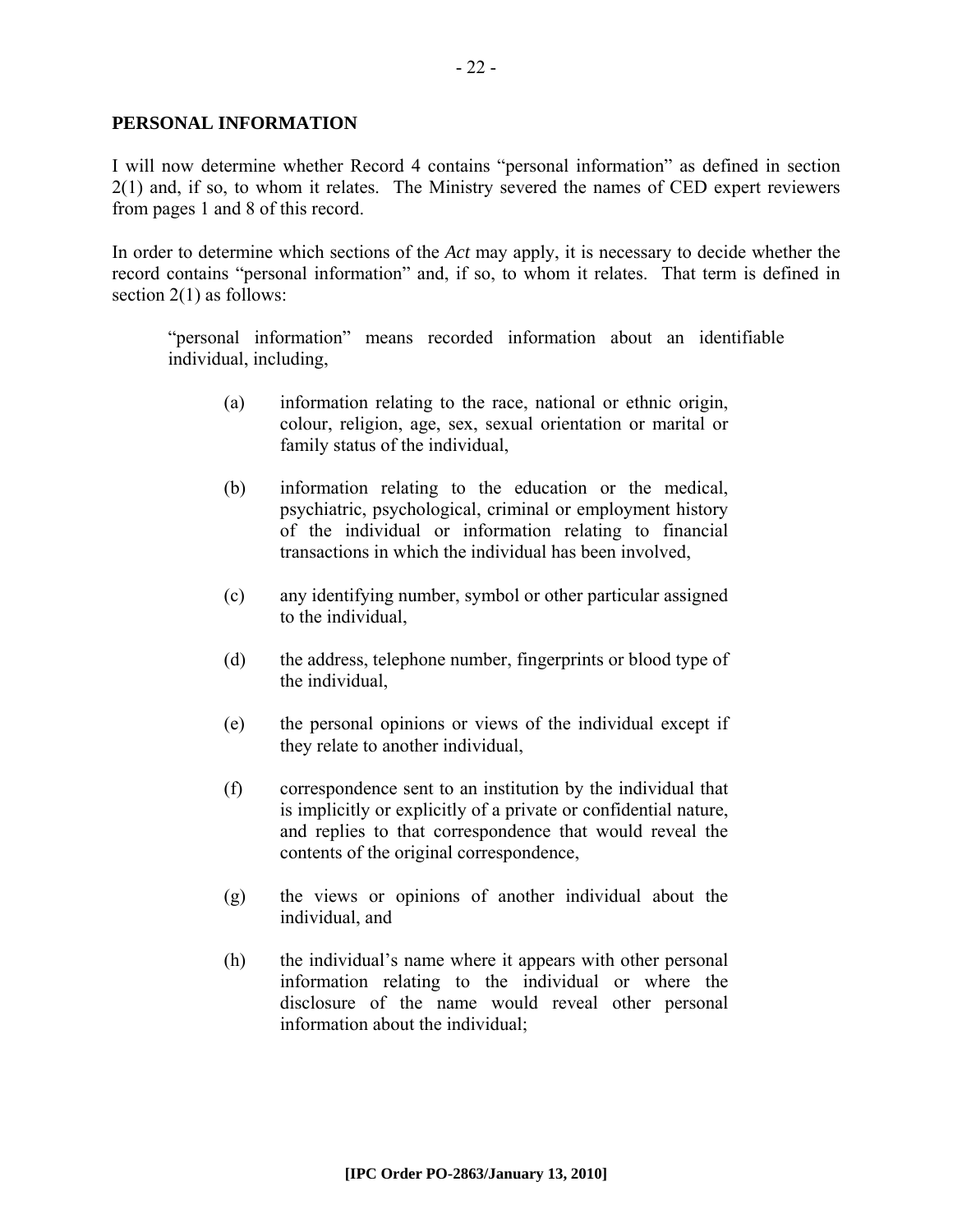#### **PERSONAL INFORMATION**

I will now determine whether Record 4 contains "personal information" as defined in section 2(1) and, if so, to whom it relates. The Ministry severed the names of CED expert reviewers from pages 1 and 8 of this record.

In order to determine which sections of the *Act* may apply, it is necessary to decide whether the record contains "personal information" and, if so, to whom it relates. That term is defined in section 2(1) as follows:

"personal information" means recorded information about an identifiable individual, including,

- (a) information relating to the race, national or ethnic origin, colour, religion, age, sex, sexual orientation or marital or family status of the individual,
- (b) information relating to the education or the medical, psychiatric, psychological, criminal or employment history of the individual or information relating to financial transactions in which the individual has been involved,
- (c) any identifying number, symbol or other particular assigned to the individual,
- (d) the address, telephone number, fingerprints or blood type of the individual,
- (e) the personal opinions or views of the individual except if they relate to another individual,
- (f) correspondence sent to an institution by the individual that is implicitly or explicitly of a private or confidential nature, and replies to that correspondence that would reveal the contents of the original correspondence,
- (g) the views or opinions of another individual about the individual, and
- (h) the individual's name where it appears with other personal information relating to the individual or where the disclosure of the name would reveal other personal information about the individual;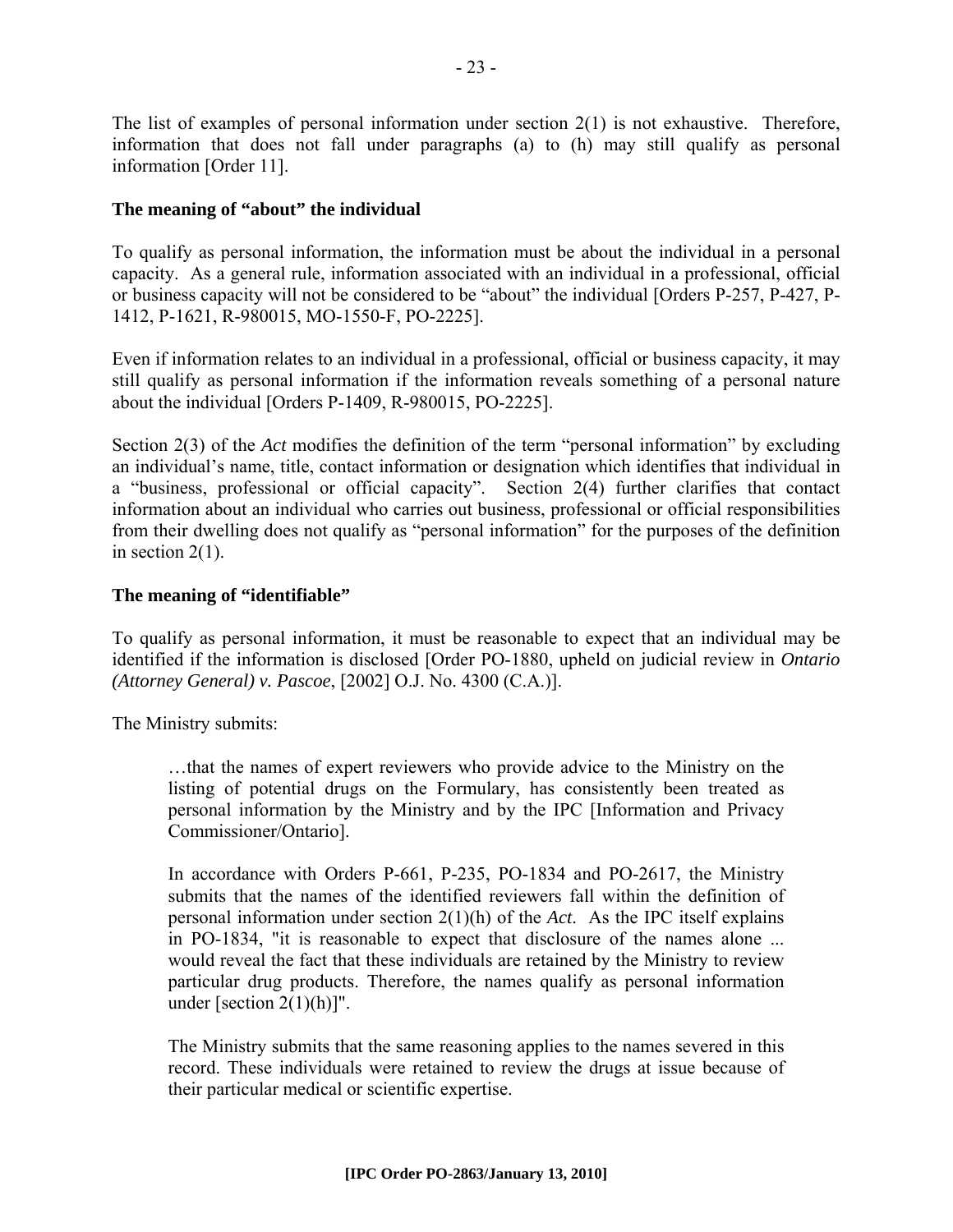The list of examples of personal information under section  $2(1)$  is not exhaustive. Therefore, information that does not fall under paragraphs (a) to (h) may still qualify as personal information [Order 11].

## **The meaning of "about" the individual**

To qualify as personal information, the information must be about the individual in a personal capacity. As a general rule, information associated with an individual in a professional, official or business capacity will not be considered to be "about" the individual [Orders P-257, P-427, P-1412, P-1621, R-980015, MO-1550-F, PO-2225].

Even if information relates to an individual in a professional, official or business capacity, it may still qualify as personal information if the information reveals something of a personal nature about the individual [Orders P-1409, R-980015, PO-2225].

Section 2(3) of the *Act* modifies the definition of the term "personal information" by excluding an individual's name, title, contact information or designation which identifies that individual in a "business, professional or official capacity". Section 2(4) further clarifies that contact information about an individual who carries out business, professional or official responsibilities from their dwelling does not qualify as "personal information" for the purposes of the definition in section  $2(1)$ .

# **The meaning of "identifiable"**

To qualify as personal information, it must be reasonable to expect that an individual may be identified if the information is disclosed [Order PO-1880, upheld on judicial review in *Ontario (Attorney General) v. Pascoe*, [2002] O.J. No. 4300 (C.A.)].

The Ministry submits:

…that the names of expert reviewers who provide advice to the Ministry on the listing of potential drugs on the Formulary, has consistently been treated as personal information by the Ministry and by the IPC [Information and Privacy Commissioner/Ontario].

In accordance with Orders P-661, P-235, PO-1834 and PO-2617, the Ministry submits that the names of the identified reviewers fall within the definition of personal information under section 2(1)(h) of the *Act*. As the IPC itself explains in PO-1834, "it is reasonable to expect that disclosure of the names alone ... would reveal the fact that these individuals are retained by the Ministry to review particular drug products. Therefore, the names qualify as personal information under [section  $2(1)(h)$ ]".

The Ministry submits that the same reasoning applies to the names severed in this record. These individuals were retained to review the drugs at issue because of their particular medical or scientific expertise.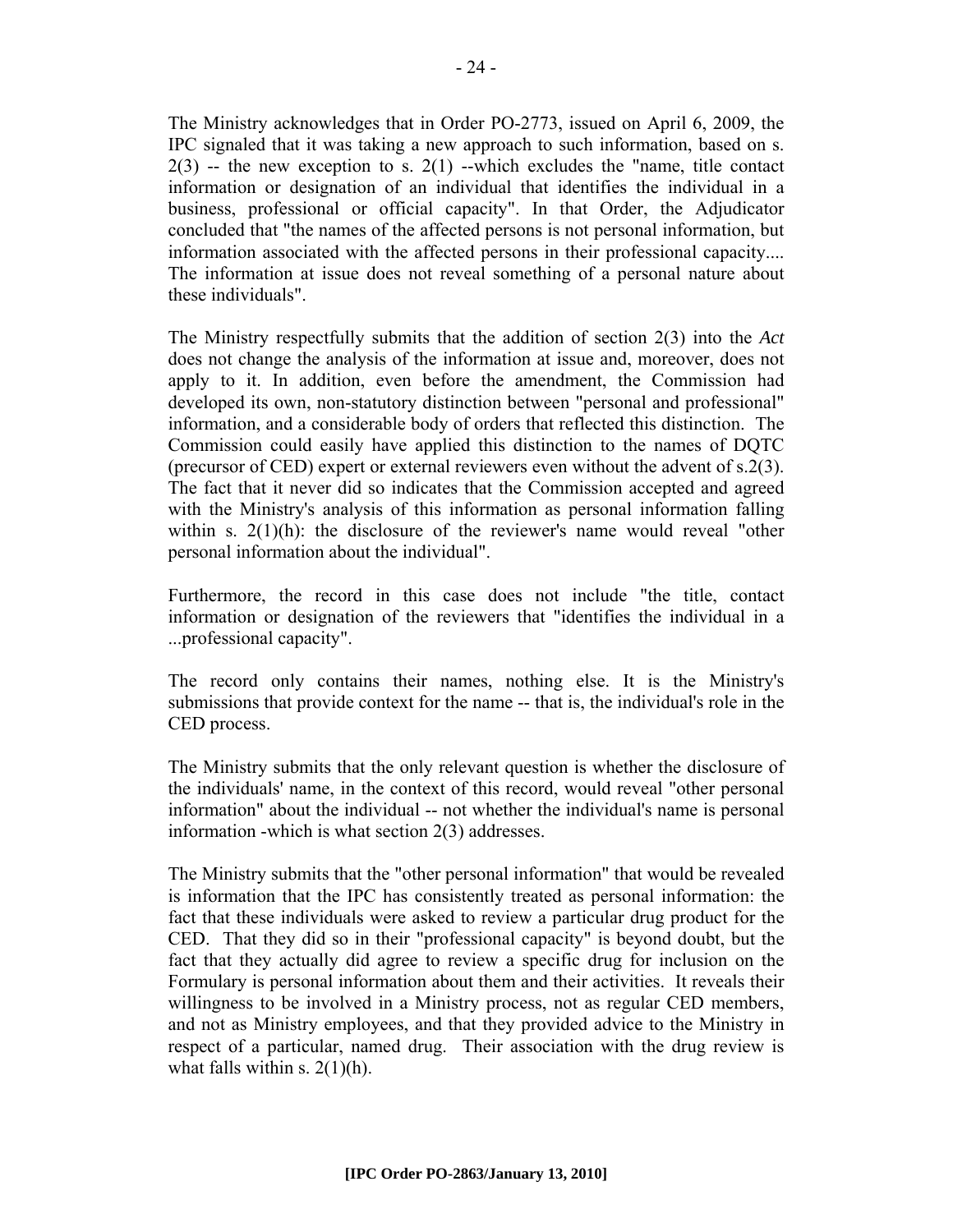The Ministry acknowledges that in Order PO-2773, issued on April 6, 2009, the IPC signaled that it was taking a new approach to such information, based on s.  $2(3)$  -- the new exception to s.  $2(1)$  --which excludes the "name, title contact" information or designation of an individual that identifies the individual in a business, professional or official capacity". In that Order, the Adjudicator concluded that "the names of the affected persons is not personal information, but information associated with the affected persons in their professional capacity.... The information at issue does not reveal something of a personal nature about these individuals".

The Ministry respectfully submits that the addition of section 2(3) into the *Act* does not change the analysis of the information at issue and, moreover, does not apply to it. In addition, even before the amendment, the Commission had developed its own, non-statutory distinction between "personal and professional" information, and a considerable body of orders that reflected this distinction. The Commission could easily have applied this distinction to the names of DQTC (precursor of CED) expert or external reviewers even without the advent of s.2(3). The fact that it never did so indicates that the Commission accepted and agreed with the Ministry's analysis of this information as personal information falling within s.  $2(1)(h)$ : the disclosure of the reviewer's name would reveal "other personal information about the individual".

Furthermore, the record in this case does not include "the title, contact information or designation of the reviewers that "identifies the individual in a ...professional capacity".

The record only contains their names, nothing else. It is the Ministry's submissions that provide context for the name -- that is, the individual's role in the CED process.

The Ministry submits that the only relevant question is whether the disclosure of the individuals' name, in the context of this record, would reveal "other personal information" about the individual -- not whether the individual's name is personal information -which is what section 2(3) addresses.

The Ministry submits that the "other personal information" that would be revealed is information that the IPC has consistently treated as personal information: the fact that these individuals were asked to review a particular drug product for the CED. That they did so in their "professional capacity" is beyond doubt, but the fact that they actually did agree to review a specific drug for inclusion on the Formulary is personal information about them and their activities. It reveals their willingness to be involved in a Ministry process, not as regular CED members, and not as Ministry employees, and that they provided advice to the Ministry in respect of a particular, named drug. Their association with the drug review is what falls within s.  $2(1)(h)$ .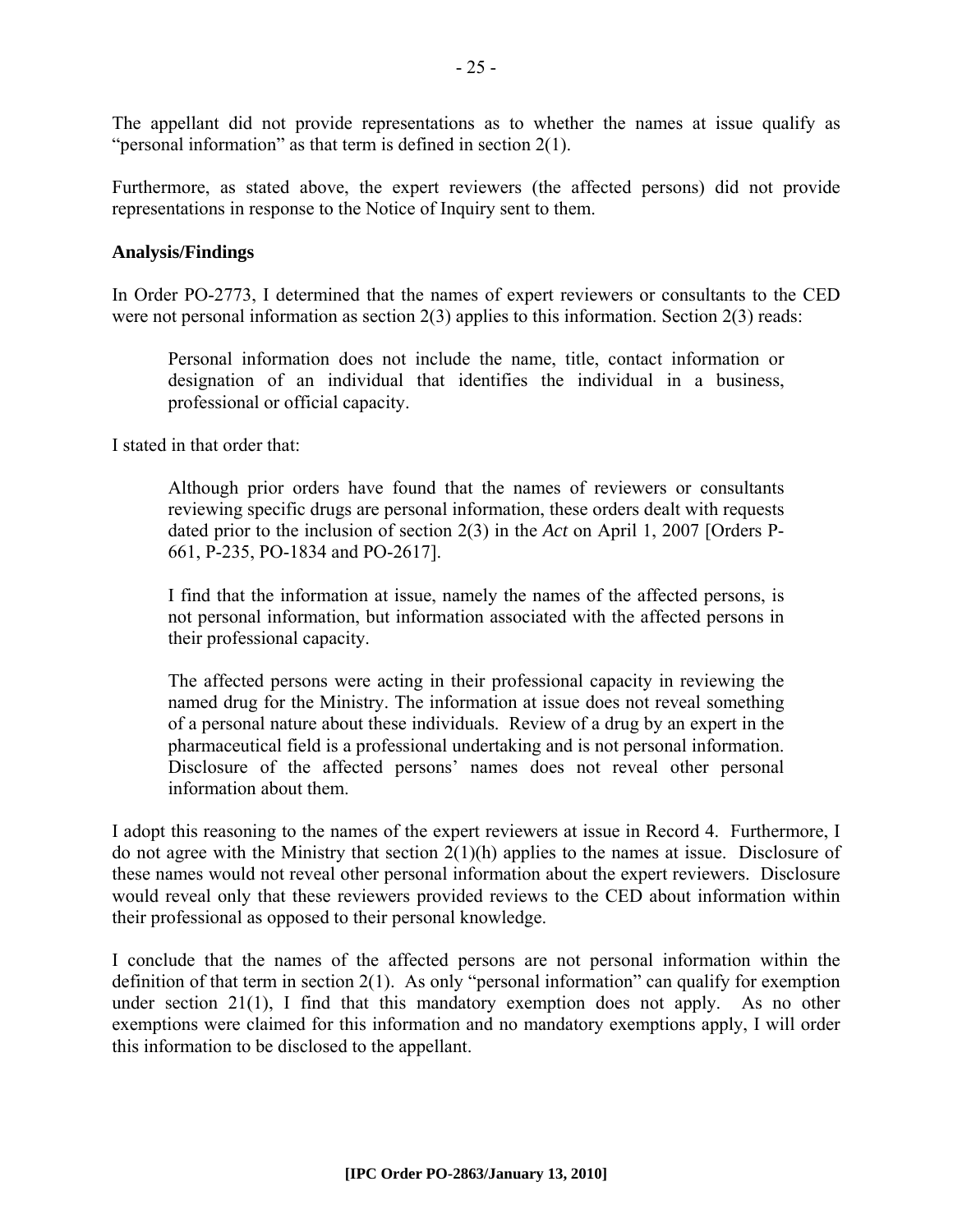The appellant did not provide representations as to whether the names at issue qualify as "personal information" as that term is defined in section 2(1).

Furthermore, as stated above, the expert reviewers (the affected persons) did not provide representations in response to the Notice of Inquiry sent to them.

#### **Analysis/Findings**

In Order PO-2773, I determined that the names of expert reviewers or consultants to the CED were not personal information as section 2(3) applies to this information. Section 2(3) reads:

Personal information does not include the name, title, contact information or designation of an individual that identifies the individual in a business, professional or official capacity.

I stated in that order that:

Although prior orders have found that the names of reviewers or consultants reviewing specific drugs are personal information, these orders dealt with requests dated prior to the inclusion of section 2(3) in the *Act* on April 1, 2007 [Orders P-661, P-235, PO-1834 and PO-2617].

I find that the information at issue, namely the names of the affected persons, is not personal information, but information associated with the affected persons in their professional capacity.

The affected persons were acting in their professional capacity in reviewing the named drug for the Ministry. The information at issue does not reveal something of a personal nature about these individuals. Review of a drug by an expert in the pharmaceutical field is a professional undertaking and is not personal information. Disclosure of the affected persons' names does not reveal other personal information about them.

I adopt this reasoning to the names of the expert reviewers at issue in Record 4. Furthermore, I do not agree with the Ministry that section 2(1)(h) applies to the names at issue. Disclosure of these names would not reveal other personal information about the expert reviewers. Disclosure would reveal only that these reviewers provided reviews to the CED about information within their professional as opposed to their personal knowledge.

I conclude that the names of the affected persons are not personal information within the definition of that term in section 2(1). As only "personal information" can qualify for exemption under section 21(1), I find that this mandatory exemption does not apply. As no other exemptions were claimed for this information and no mandatory exemptions apply, I will order this information to be disclosed to the appellant.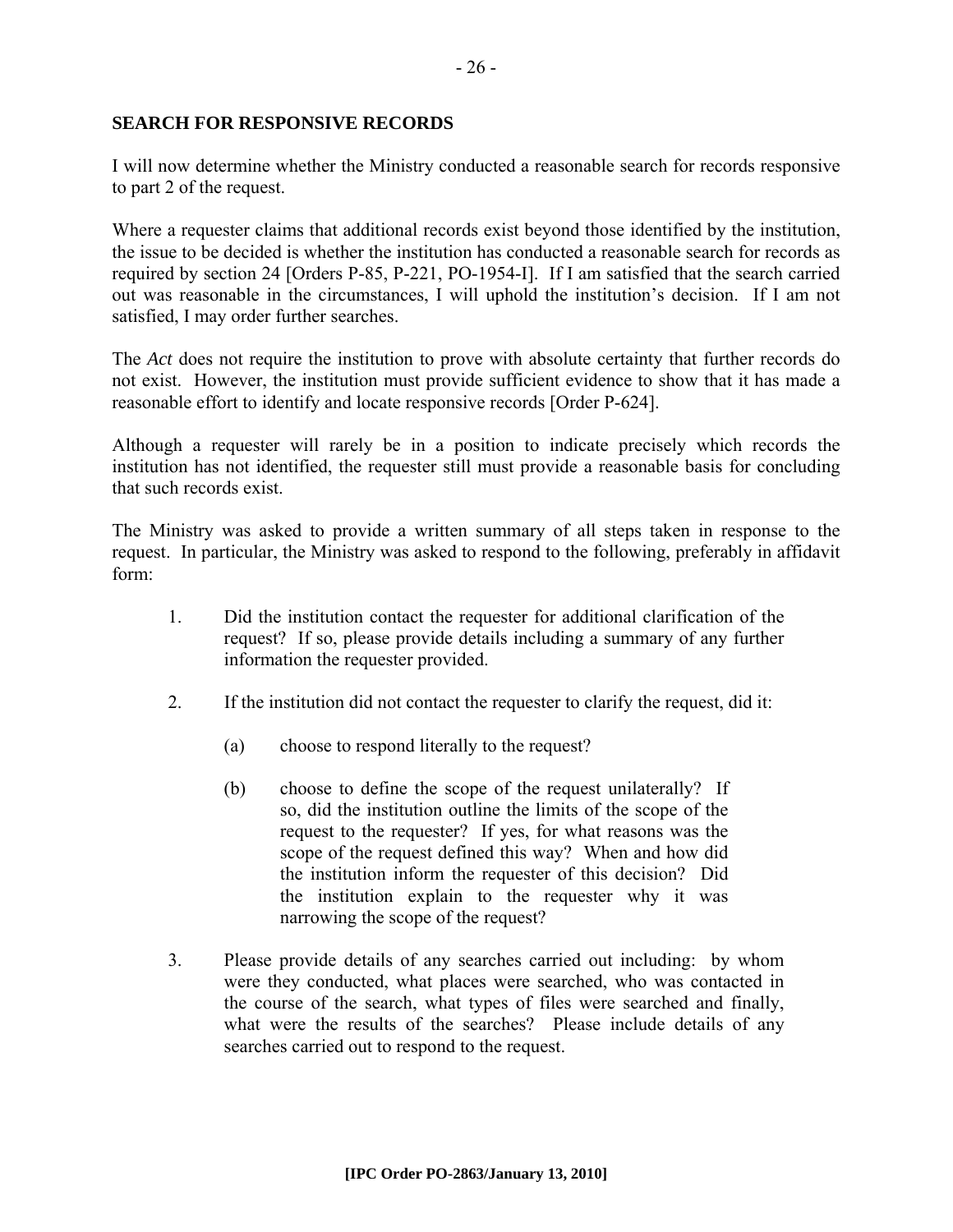#### **SEARCH FOR RESPONSIVE RECORDS**

I will now determine whether the Ministry conducted a reasonable search for records responsive to part 2 of the request.

Where a requester claims that additional records exist beyond those identified by the institution, the issue to be decided is whether the institution has conducted a reasonable search for records as required by section 24 [Orders P-85, P-221, PO-1954-I]. If I am satisfied that the search carried out was reasonable in the circumstances, I will uphold the institution's decision. If I am not satisfied, I may order further searches.

The *Act* does not require the institution to prove with absolute certainty that further records do not exist. However, the institution must provide sufficient evidence to show that it has made a reasonable effort to identify and locate responsive records [Order P-624].

Although a requester will rarely be in a position to indicate precisely which records the institution has not identified, the requester still must provide a reasonable basis for concluding that such records exist.

The Ministry was asked to provide a written summary of all steps taken in response to the request. In particular, the Ministry was asked to respond to the following, preferably in affidavit form:

- 1. Did the institution contact the requester for additional clarification of the request? If so, please provide details including a summary of any further information the requester provided.
- 2. If the institution did not contact the requester to clarify the request, did it:
	- (a) choose to respond literally to the request?
	- (b) choose to define the scope of the request unilaterally? If so, did the institution outline the limits of the scope of the request to the requester? If yes, for what reasons was the scope of the request defined this way? When and how did the institution inform the requester of this decision? Did the institution explain to the requester why it was narrowing the scope of the request?
- 3. Please provide details of any searches carried out including: by whom were they conducted, what places were searched, who was contacted in the course of the search, what types of files were searched and finally, what were the results of the searches? Please include details of any searches carried out to respond to the request.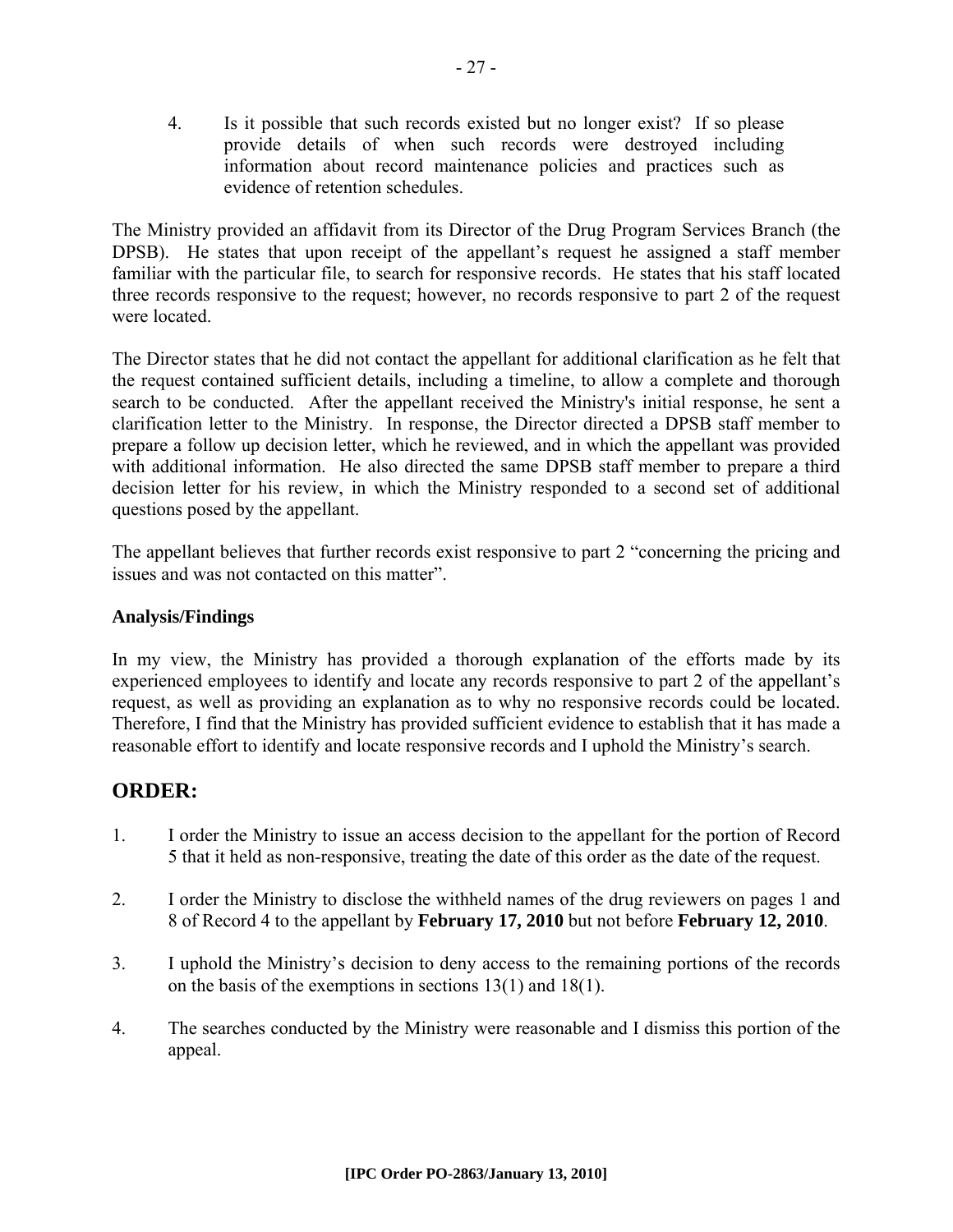4. Is it possible that such records existed but no longer exist? If so please provide details of when such records were destroyed including information about record maintenance policies and practices such as evidence of retention schedules.

The Ministry provided an affidavit from its Director of the Drug Program Services Branch (the DPSB). He states that upon receipt of the appellant's request he assigned a staff member familiar with the particular file, to search for responsive records. He states that his staff located three records responsive to the request; however, no records responsive to part 2 of the request were located.

The Director states that he did not contact the appellant for additional clarification as he felt that the request contained sufficient details, including a timeline, to allow a complete and thorough search to be conducted. After the appellant received the Ministry's initial response, he sent a clarification letter to the Ministry. In response, the Director directed a DPSB staff member to prepare a follow up decision letter, which he reviewed, and in which the appellant was provided with additional information. He also directed the same DPSB staff member to prepare a third decision letter for his review, in which the Ministry responded to a second set of additional questions posed by the appellant.

The appellant believes that further records exist responsive to part 2 "concerning the pricing and issues and was not contacted on this matter".

# **Analysis/Findings**

In my view, the Ministry has provided a thorough explanation of the efforts made by its experienced employees to identify and locate any records responsive to part 2 of the appellant's request, as well as providing an explanation as to why no responsive records could be located. Therefore, I find that the Ministry has provided sufficient evidence to establish that it has made a reasonable effort to identify and locate responsive records and I uphold the Ministry's search.

# **ORDER:**

- 1. I order the Ministry to issue an access decision to the appellant for the portion of Record 5 that it held as non-responsive, treating the date of this order as the date of the request.
- 2. I order the Ministry to disclose the withheld names of the drug reviewers on pages 1 and 8 of Record 4 to the appellant by **February 17, 2010** but not before **February 12, 2010**.
- 3. I uphold the Ministry's decision to deny access to the remaining portions of the records on the basis of the exemptions in sections 13(1) and 18(1).
- 4. The searches conducted by the Ministry were reasonable and I dismiss this portion of the appeal.